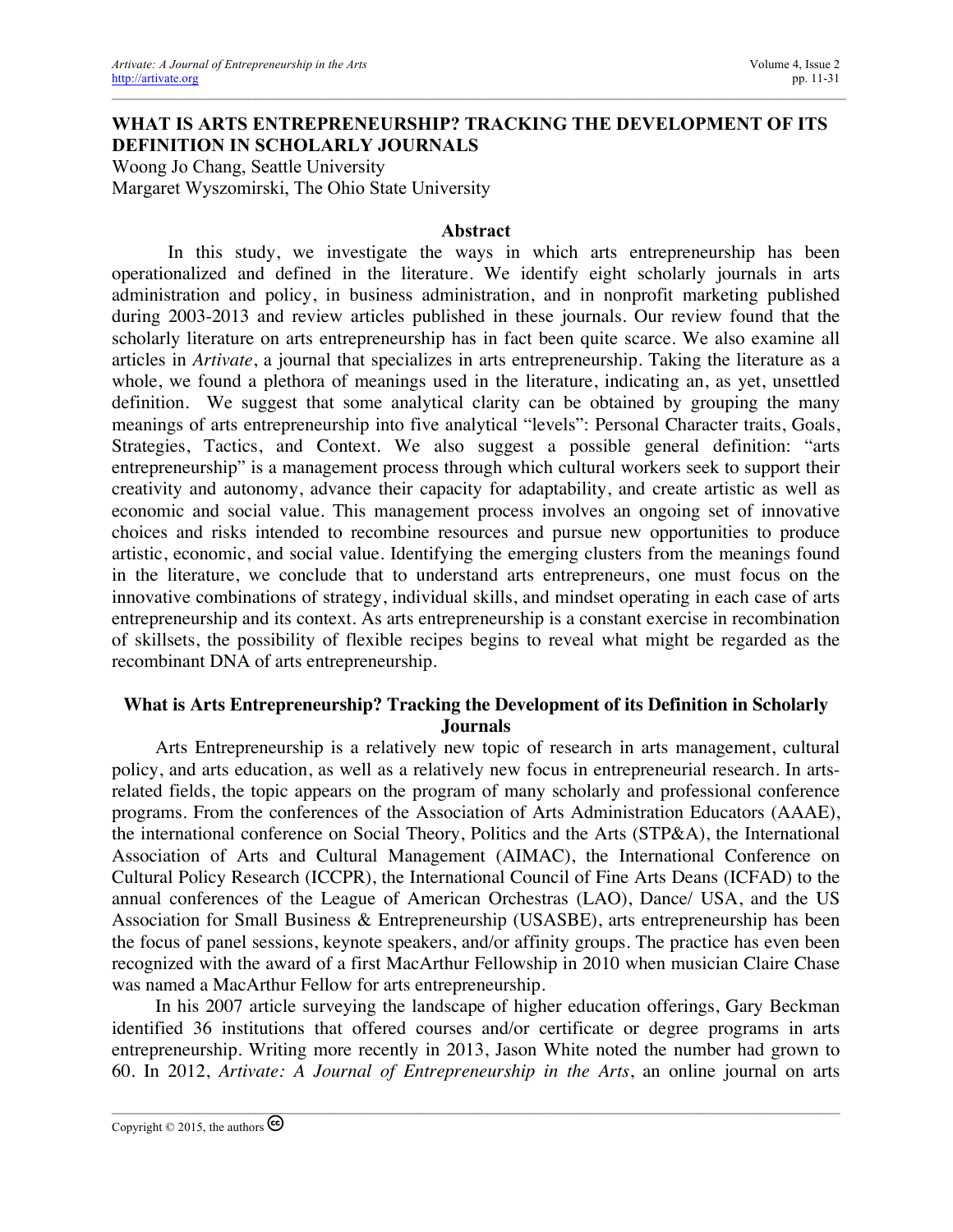# **WHAT IS ARTS ENTREPRENEURSHIP? TRACKING THE DEVELOPMENT OF ITS DEFINITION IN SCHOLARLY JOURNALS**

Woong Jo Chang, Seattle University Margaret Wyszomirski, The Ohio State University

#### **Abstract**

In this study, we investigate the ways in which arts entrepreneurship has been operationalized and defined in the literature. We identify eight scholarly journals in arts administration and policy, in business administration, and in nonprofit marketing published during 2003-2013 and review articles published in these journals. Our review found that the scholarly literature on arts entrepreneurship has in fact been quite scarce. We also examine all articles in *Artivate*, a journal that specializes in arts entrepreneurship. Taking the literature as a whole, we found a plethora of meanings used in the literature, indicating an, as yet, unsettled definition. We suggest that some analytical clarity can be obtained by grouping the many meanings of arts entrepreneurship into five analytical "levels": Personal Character traits, Goals, Strategies, Tactics, and Context. We also suggest a possible general definition: "arts entrepreneurship" is a management process through which cultural workers seek to support their creativity and autonomy, advance their capacity for adaptability, and create artistic as well as economic and social value. This management process involves an ongoing set of innovative choices and risks intended to recombine resources and pursue new opportunities to produce artistic, economic, and social value. Identifying the emerging clusters from the meanings found in the literature, we conclude that to understand arts entrepreneurs, one must focus on the innovative combinations of strategy, individual skills, and mindset operating in each case of arts entrepreneurship and its context. As arts entrepreneurship is a constant exercise in recombination of skillsets, the possibility of flexible recipes begins to reveal what might be regarded as the recombinant DNA of arts entrepreneurship.

## **What is Arts Entrepreneurship? Tracking the Development of its Definition in Scholarly Journals**

Arts Entrepreneurship is a relatively new topic of research in arts management, cultural policy, and arts education, as well as a relatively new focus in entrepreneurial research. In artsrelated fields, the topic appears on the program of many scholarly and professional conference programs. From the conferences of the Association of Arts Administration Educators (AAAE), the international conference on Social Theory, Politics and the Arts (STP&A), the International Association of Arts and Cultural Management (AIMAC), the International Conference on Cultural Policy Research (ICCPR), the International Council of Fine Arts Deans (ICFAD) to the annual conferences of the League of American Orchestras (LAO), Dance/ USA, and the US Association for Small Business & Entrepreneurship (USASBE), arts entrepreneurship has been the focus of panel sessions, keynote speakers, and/or affinity groups. The practice has even been recognized with the award of a first MacArthur Fellowship in 2010 when musician Claire Chase was named a MacArthur Fellow for arts entrepreneurship.

In his 2007 article surveying the landscape of higher education offerings, Gary Beckman identified 36 institutions that offered courses and/or certificate or degree programs in arts entrepreneurship. Writing more recently in 2013, Jason White noted the number had grown to 60. In 2012, *Artivate: A Journal of Entrepreneurship in the Arts*, an online journal on arts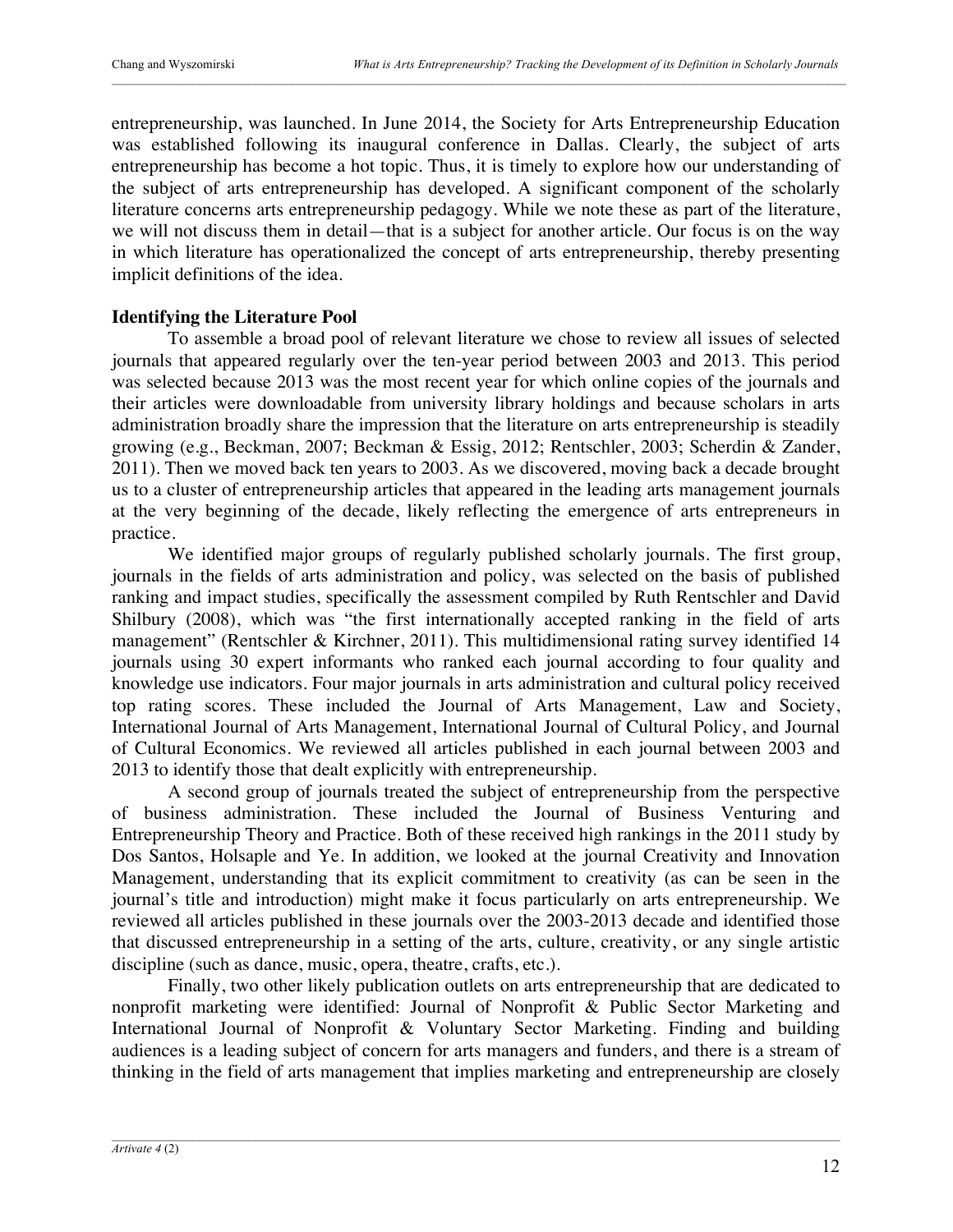entrepreneurship, was launched. In June 2014, the Society for Arts Entrepreneurship Education was established following its inaugural conference in Dallas. Clearly, the subject of arts entrepreneurship has become a hot topic. Thus, it is timely to explore how our understanding of the subject of arts entrepreneurship has developed. A significant component of the scholarly literature concerns arts entrepreneurship pedagogy. While we note these as part of the literature, we will not discuss them in detail—that is a subject for another article. Our focus is on the way in which literature has operationalized the concept of arts entrepreneurship, thereby presenting implicit definitions of the idea.

## **Identifying the Literature Pool**

To assemble a broad pool of relevant literature we chose to review all issues of selected journals that appeared regularly over the ten-year period between 2003 and 2013. This period was selected because 2013 was the most recent year for which online copies of the journals and their articles were downloadable from university library holdings and because scholars in arts administration broadly share the impression that the literature on arts entrepreneurship is steadily growing (e.g., Beckman, 2007; Beckman & Essig, 2012; Rentschler, 2003; Scherdin & Zander, 2011). Then we moved back ten years to 2003. As we discovered, moving back a decade brought us to a cluster of entrepreneurship articles that appeared in the leading arts management journals at the very beginning of the decade, likely reflecting the emergence of arts entrepreneurs in practice.

We identified major groups of regularly published scholarly journals. The first group, journals in the fields of arts administration and policy, was selected on the basis of published ranking and impact studies, specifically the assessment compiled by Ruth Rentschler and David Shilbury (2008), which was "the first internationally accepted ranking in the field of arts management" (Rentschler & Kirchner, 2011). This multidimensional rating survey identified 14 journals using 30 expert informants who ranked each journal according to four quality and knowledge use indicators. Four major journals in arts administration and cultural policy received top rating scores. These included the Journal of Arts Management, Law and Society, International Journal of Arts Management, International Journal of Cultural Policy, and Journal of Cultural Economics. We reviewed all articles published in each journal between 2003 and 2013 to identify those that dealt explicitly with entrepreneurship.

A second group of journals treated the subject of entrepreneurship from the perspective of business administration. These included the Journal of Business Venturing and Entrepreneurship Theory and Practice. Both of these received high rankings in the 2011 study by Dos Santos, Holsaple and Ye. In addition, we looked at the journal Creativity and Innovation Management, understanding that its explicit commitment to creativity (as can be seen in the journal's title and introduction) might make it focus particularly on arts entrepreneurship. We reviewed all articles published in these journals over the 2003-2013 decade and identified those that discussed entrepreneurship in a setting of the arts, culture, creativity, or any single artistic discipline (such as dance, music, opera, theatre, crafts, etc.).

Finally, two other likely publication outlets on arts entrepreneurship that are dedicated to nonprofit marketing were identified: Journal of Nonprofit & Public Sector Marketing and International Journal of Nonprofit & Voluntary Sector Marketing. Finding and building audiences is a leading subject of concern for arts managers and funders, and there is a stream of thinking in the field of arts management that implies marketing and entrepreneurship are closely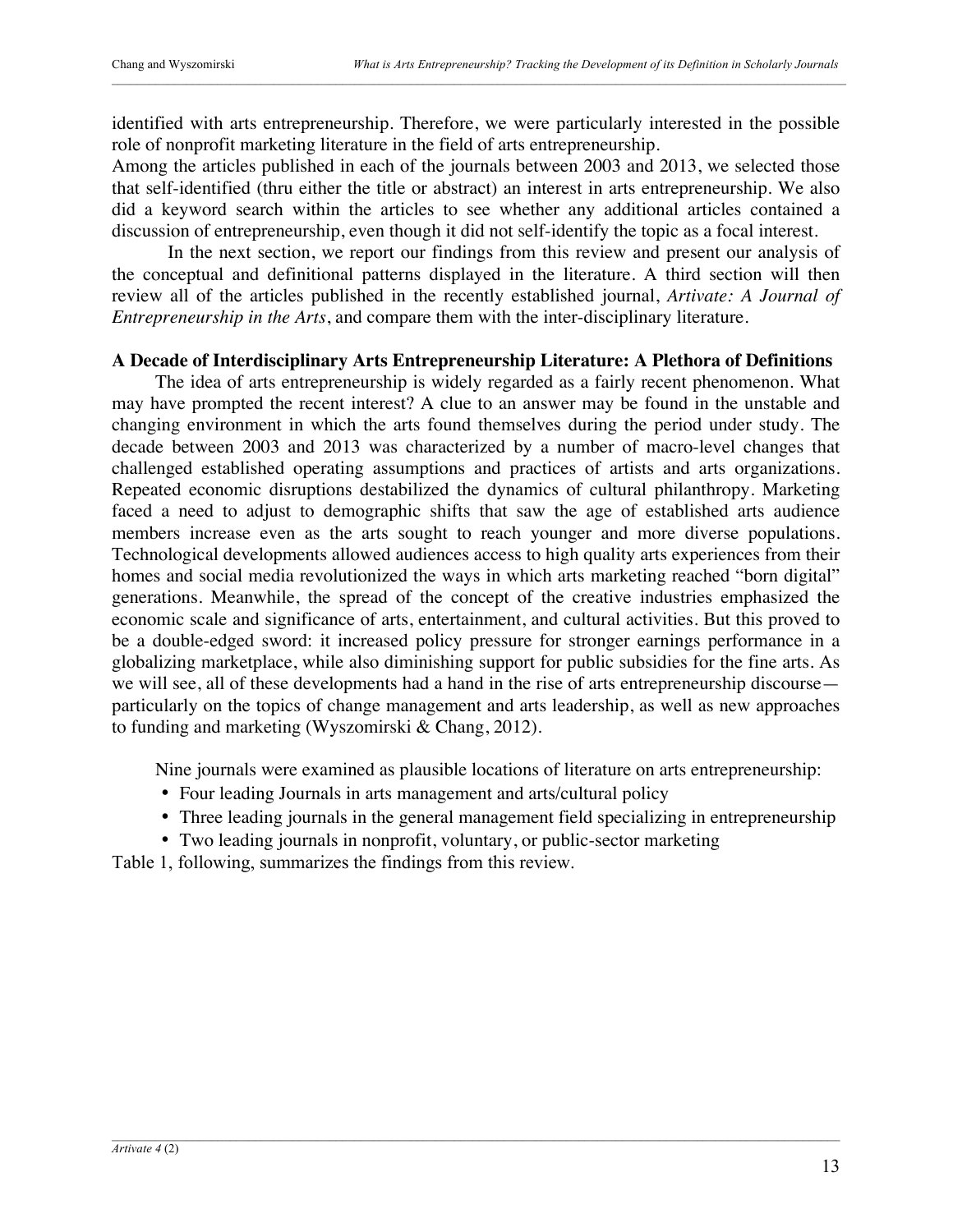identified with arts entrepreneurship. Therefore, we were particularly interested in the possible role of nonprofit marketing literature in the field of arts entrepreneurship.

Among the articles published in each of the journals between 2003 and 2013, we selected those that self-identified (thru either the title or abstract) an interest in arts entrepreneurship. We also did a keyword search within the articles to see whether any additional articles contained a discussion of entrepreneurship, even though it did not self-identify the topic as a focal interest.

In the next section, we report our findings from this review and present our analysis of the conceptual and definitional patterns displayed in the literature. A third section will then review all of the articles published in the recently established journal, *Artivate: A Journal of Entrepreneurship in the Arts*, and compare them with the inter-disciplinary literature.

### **A Decade of Interdisciplinary Arts Entrepreneurship Literature: A Plethora of Definitions**

The idea of arts entrepreneurship is widely regarded as a fairly recent phenomenon. What may have prompted the recent interest? A clue to an answer may be found in the unstable and changing environment in which the arts found themselves during the period under study. The decade between 2003 and 2013 was characterized by a number of macro-level changes that challenged established operating assumptions and practices of artists and arts organizations. Repeated economic disruptions destabilized the dynamics of cultural philanthropy. Marketing faced a need to adjust to demographic shifts that saw the age of established arts audience members increase even as the arts sought to reach younger and more diverse populations. Technological developments allowed audiences access to high quality arts experiences from their homes and social media revolutionized the ways in which arts marketing reached "born digital" generations. Meanwhile, the spread of the concept of the creative industries emphasized the economic scale and significance of arts, entertainment, and cultural activities. But this proved to be a double-edged sword: it increased policy pressure for stronger earnings performance in a globalizing marketplace, while also diminishing support for public subsidies for the fine arts. As we will see, all of these developments had a hand in the rise of arts entrepreneurship discourse particularly on the topics of change management and arts leadership, as well as new approaches to funding and marketing (Wyszomirski & Chang, 2012).

Nine journals were examined as plausible locations of literature on arts entrepreneurship:

- Four leading Journals in arts management and arts/cultural policy
- Three leading journals in the general management field specializing in entrepreneurship
- Two leading journals in nonprofit, voluntary, or public-sector marketing

Table 1, following, summarizes the findings from this review.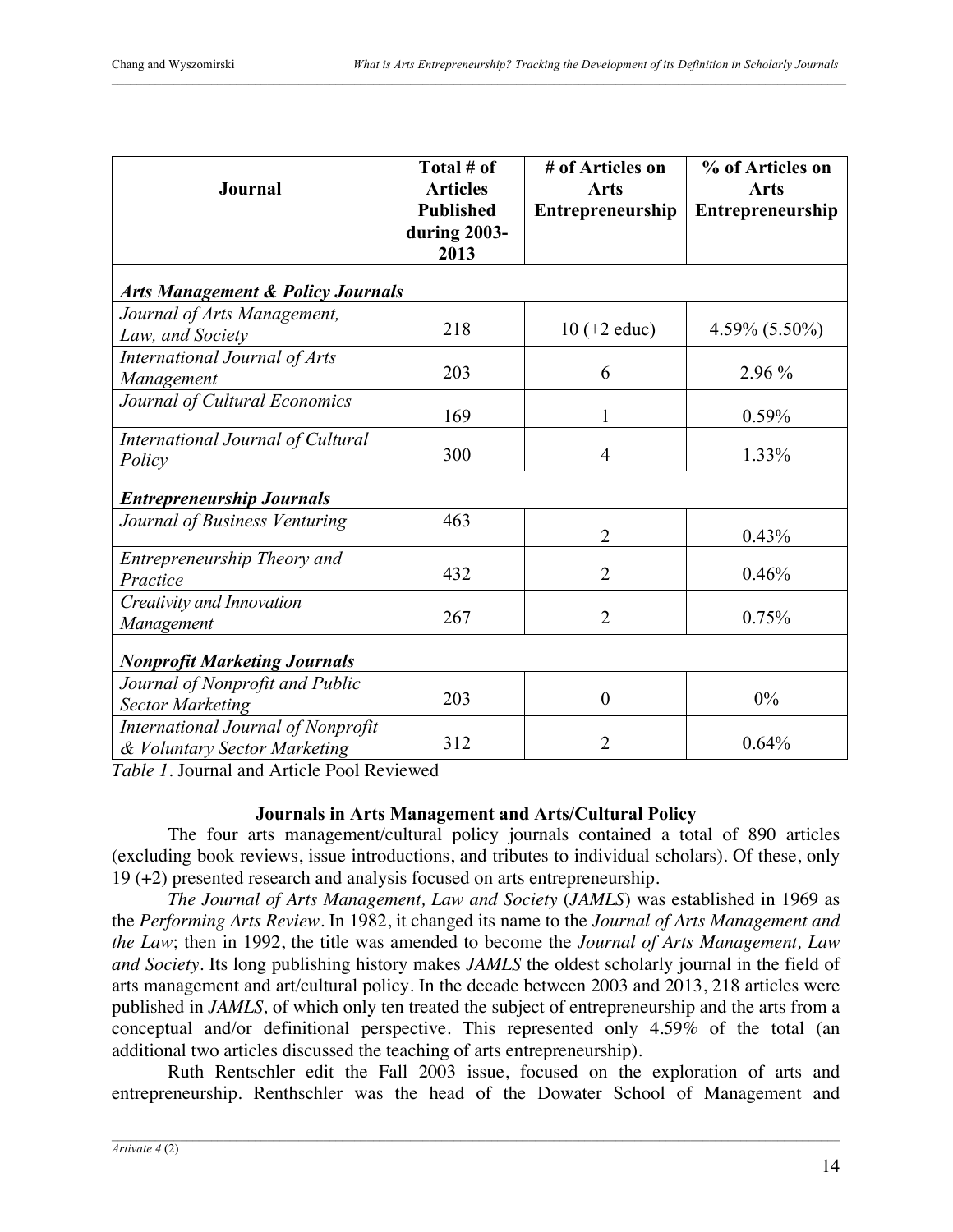| Journal                                                            | Total # of<br><b>Articles</b><br><b>Published</b><br>during 2003- | # of Articles on<br><b>Arts</b><br>Entrepreneurship | % of Articles on<br><b>Arts</b><br><b>Entrepreneurship</b> |  |  |
|--------------------------------------------------------------------|-------------------------------------------------------------------|-----------------------------------------------------|------------------------------------------------------------|--|--|
|                                                                    | 2013                                                              |                                                     |                                                            |  |  |
| <b>Arts Management &amp; Policy Journals</b>                       |                                                                   |                                                     |                                                            |  |  |
| Journal of Arts Management,<br>Law, and Society                    | 218                                                               | $10 (+2$ educ)                                      | $4.59\% (5.50\%)$                                          |  |  |
| International Journal of Arts<br>Management                        | 203                                                               | 6                                                   | 2.96 %                                                     |  |  |
| Journal of Cultural Economics                                      | 169                                                               | 1                                                   | 0.59%                                                      |  |  |
| International Journal of Cultural<br>Policy                        | 300                                                               | $\overline{4}$                                      | 1.33%                                                      |  |  |
| <b>Entrepreneurship Journals</b>                                   |                                                                   |                                                     |                                                            |  |  |
| Journal of Business Venturing                                      | 463                                                               | $\overline{2}$                                      | 0.43%                                                      |  |  |
| Entrepreneurship Theory and<br>Practice                            | 432                                                               | $\overline{2}$                                      | 0.46%                                                      |  |  |
| Creativity and Innovation<br>Management                            | 267                                                               | $\overline{2}$                                      | 0.75%                                                      |  |  |
| <b>Nonprofit Marketing Journals</b>                                |                                                                   |                                                     |                                                            |  |  |
| Journal of Nonprofit and Public<br><b>Sector Marketing</b>         | 203                                                               | $\boldsymbol{0}$                                    | 0%                                                         |  |  |
| International Journal of Nonprofit<br>& Voluntary Sector Marketing | 312                                                               | $\overline{2}$                                      | 0.64%                                                      |  |  |

*Table 1*. Journal and Article Pool Reviewed

# **Journals in Arts Management and Arts/Cultural Policy**

The four arts management/cultural policy journals contained a total of 890 articles (excluding book reviews, issue introductions, and tributes to individual scholars). Of these, only 19 (+2) presented research and analysis focused on arts entrepreneurship.

*The Journal of Arts Management, Law and Society* (*JAMLS*) was established in 1969 as the *Performing Arts Review*. In 1982, it changed its name to the *Journal of Arts Management and the Law*; then in 1992, the title was amended to become the *Journal of Arts Management, Law and Society*. Its long publishing history makes *JAMLS* the oldest scholarly journal in the field of arts management and art/cultural policy. In the decade between 2003 and 2013, 218 articles were published in *JAMLS,* of which only ten treated the subject of entrepreneurship and the arts from a conceptual and/or definitional perspective. This represented only 4.59% of the total (an additional two articles discussed the teaching of arts entrepreneurship).

Ruth Rentschler edit the Fall 2003 issue, focused on the exploration of arts and entrepreneurship. Renthschler was the head of the Dowater School of Management and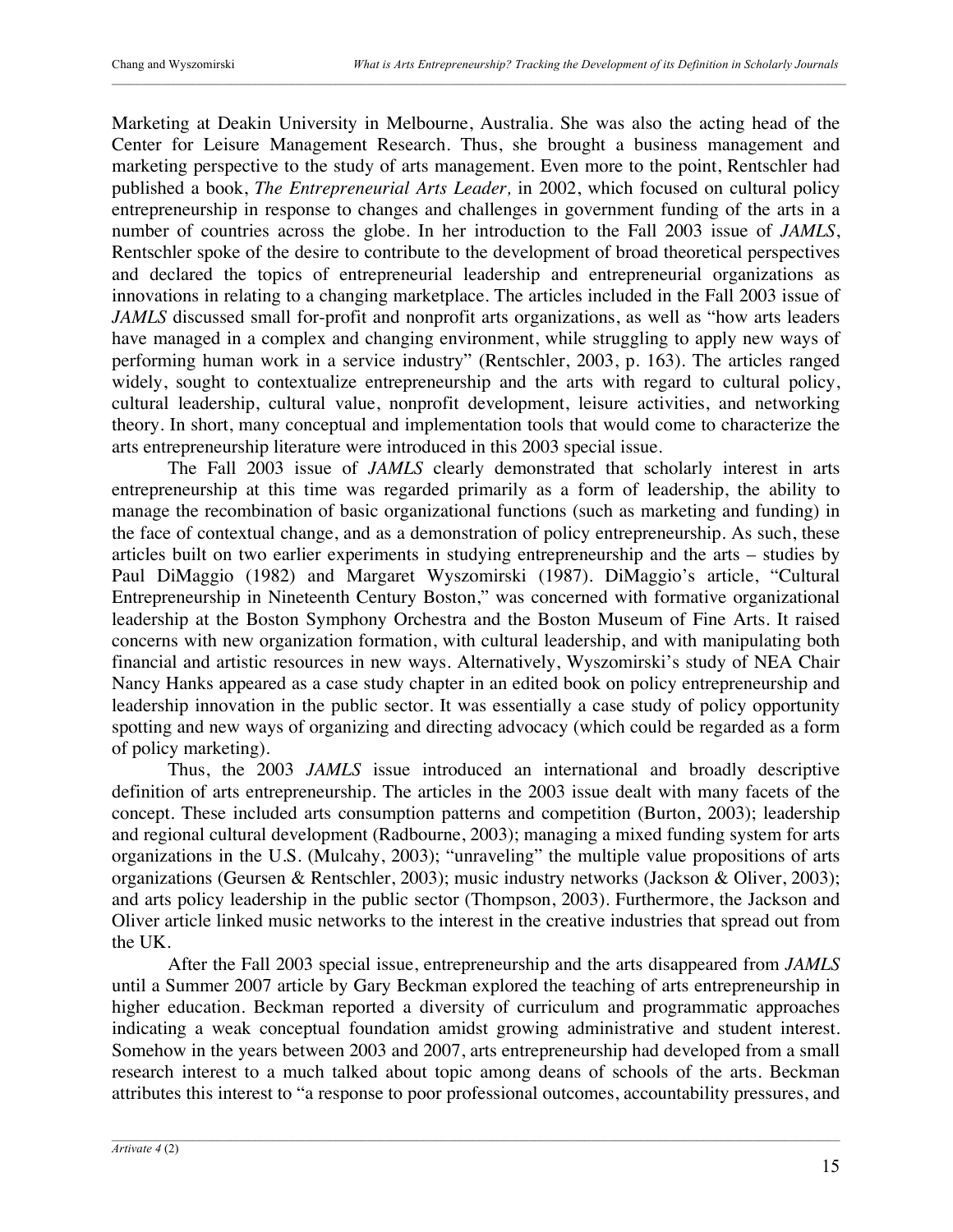Marketing at Deakin University in Melbourne, Australia. She was also the acting head of the Center for Leisure Management Research. Thus, she brought a business management and marketing perspective to the study of arts management. Even more to the point, Rentschler had published a book, *The Entrepreneurial Arts Leader,* in 2002, which focused on cultural policy entrepreneurship in response to changes and challenges in government funding of the arts in a number of countries across the globe. In her introduction to the Fall 2003 issue of *JAMLS*, Rentschler spoke of the desire to contribute to the development of broad theoretical perspectives and declared the topics of entrepreneurial leadership and entrepreneurial organizations as innovations in relating to a changing marketplace. The articles included in the Fall 2003 issue of *JAMLS* discussed small for-profit and nonprofit arts organizations, as well as "how arts leaders have managed in a complex and changing environment, while struggling to apply new ways of performing human work in a service industry" (Rentschler, 2003, p. 163). The articles ranged widely, sought to contextualize entrepreneurship and the arts with regard to cultural policy, cultural leadership, cultural value, nonprofit development, leisure activities, and networking theory. In short, many conceptual and implementation tools that would come to characterize the arts entrepreneurship literature were introduced in this 2003 special issue.

The Fall 2003 issue of *JAMLS* clearly demonstrated that scholarly interest in arts entrepreneurship at this time was regarded primarily as a form of leadership, the ability to manage the recombination of basic organizational functions (such as marketing and funding) in the face of contextual change, and as a demonstration of policy entrepreneurship. As such, these articles built on two earlier experiments in studying entrepreneurship and the arts – studies by Paul DiMaggio (1982) and Margaret Wyszomirski (1987). DiMaggio's article, "Cultural Entrepreneurship in Nineteenth Century Boston," was concerned with formative organizational leadership at the Boston Symphony Orchestra and the Boston Museum of Fine Arts. It raised concerns with new organization formation, with cultural leadership, and with manipulating both financial and artistic resources in new ways. Alternatively, Wyszomirski's study of NEA Chair Nancy Hanks appeared as a case study chapter in an edited book on policy entrepreneurship and leadership innovation in the public sector. It was essentially a case study of policy opportunity spotting and new ways of organizing and directing advocacy (which could be regarded as a form of policy marketing).

Thus, the 2003 *JAMLS* issue introduced an international and broadly descriptive definition of arts entrepreneurship. The articles in the 2003 issue dealt with many facets of the concept. These included arts consumption patterns and competition (Burton, 2003); leadership and regional cultural development (Radbourne, 2003); managing a mixed funding system for arts organizations in the U.S. (Mulcahy, 2003); "unraveling" the multiple value propositions of arts organizations (Geursen & Rentschler, 2003); music industry networks (Jackson & Oliver, 2003); and arts policy leadership in the public sector (Thompson, 2003). Furthermore, the Jackson and Oliver article linked music networks to the interest in the creative industries that spread out from the UK.

After the Fall 2003 special issue, entrepreneurship and the arts disappeared from *JAMLS* until a Summer 2007 article by Gary Beckman explored the teaching of arts entrepreneurship in higher education. Beckman reported a diversity of curriculum and programmatic approaches indicating a weak conceptual foundation amidst growing administrative and student interest. Somehow in the years between 2003 and 2007, arts entrepreneurship had developed from a small research interest to a much talked about topic among deans of schools of the arts. Beckman attributes this interest to "a response to poor professional outcomes, accountability pressures, and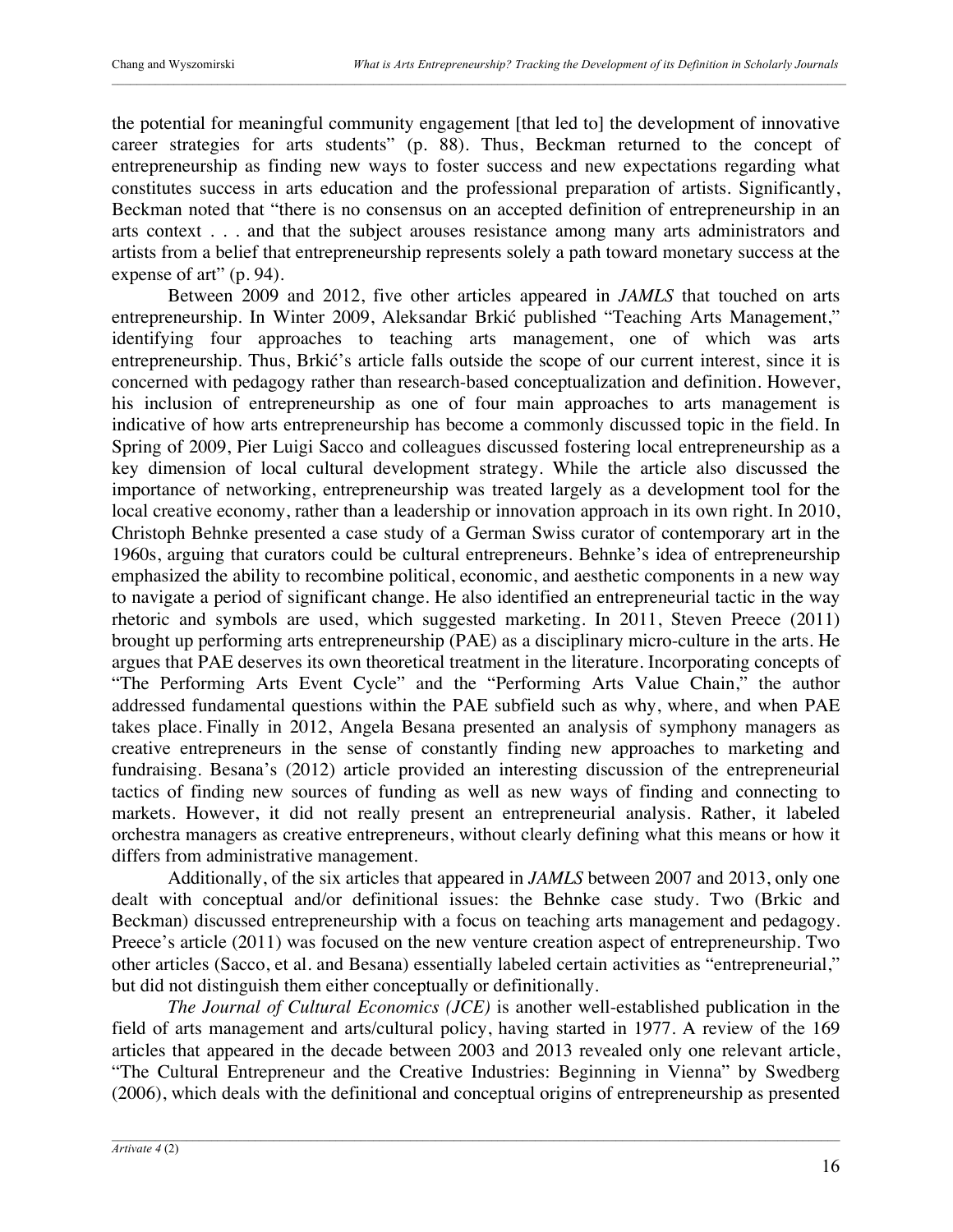the potential for meaningful community engagement [that led to] the development of innovative career strategies for arts students" (p. 88). Thus, Beckman returned to the concept of entrepreneurship as finding new ways to foster success and new expectations regarding what constitutes success in arts education and the professional preparation of artists. Significantly, Beckman noted that "there is no consensus on an accepted definition of entrepreneurship in an arts context . . . and that the subject arouses resistance among many arts administrators and artists from a belief that entrepreneurship represents solely a path toward monetary success at the expense of art" (p. 94).

Between 2009 and 2012, five other articles appeared in *JAMLS* that touched on arts entrepreneurship. In Winter 2009, Aleksandar Brkić published "Teaching Arts Management," identifying four approaches to teaching arts management, one of which was arts entrepreneurship. Thus, Brkić's article falls outside the scope of our current interest, since it is concerned with pedagogy rather than research-based conceptualization and definition. However, his inclusion of entrepreneurship as one of four main approaches to arts management is indicative of how arts entrepreneurship has become a commonly discussed topic in the field. In Spring of 2009, Pier Luigi Sacco and colleagues discussed fostering local entrepreneurship as a key dimension of local cultural development strategy. While the article also discussed the importance of networking, entrepreneurship was treated largely as a development tool for the local creative economy, rather than a leadership or innovation approach in its own right. In 2010, Christoph Behnke presented a case study of a German Swiss curator of contemporary art in the 1960s, arguing that curators could be cultural entrepreneurs. Behnke's idea of entrepreneurship emphasized the ability to recombine political, economic, and aesthetic components in a new way to navigate a period of significant change. He also identified an entrepreneurial tactic in the way rhetoric and symbols are used, which suggested marketing. In 2011, Steven Preece (2011) brought up performing arts entrepreneurship (PAE) as a disciplinary micro-culture in the arts. He argues that PAE deserves its own theoretical treatment in the literature. Incorporating concepts of "The Performing Arts Event Cycle" and the "Performing Arts Value Chain," the author addressed fundamental questions within the PAE subfield such as why, where, and when PAE takes place. Finally in 2012, Angela Besana presented an analysis of symphony managers as creative entrepreneurs in the sense of constantly finding new approaches to marketing and fundraising. Besana's (2012) article provided an interesting discussion of the entrepreneurial tactics of finding new sources of funding as well as new ways of finding and connecting to markets. However, it did not really present an entrepreneurial analysis. Rather, it labeled orchestra managers as creative entrepreneurs, without clearly defining what this means or how it differs from administrative management.

Additionally, of the six articles that appeared in *JAMLS* between 2007 and 2013, only one dealt with conceptual and/or definitional issues: the Behnke case study. Two (Brkic and Beckman) discussed entrepreneurship with a focus on teaching arts management and pedagogy. Preece's article (2011) was focused on the new venture creation aspect of entrepreneurship. Two other articles (Sacco, et al. and Besana) essentially labeled certain activities as "entrepreneurial," but did not distinguish them either conceptually or definitionally.

*The Journal of Cultural Economics (JCE)* is another well-established publication in the field of arts management and arts/cultural policy, having started in 1977. A review of the 169 articles that appeared in the decade between 2003 and 2013 revealed only one relevant article, "The Cultural Entrepreneur and the Creative Industries: Beginning in Vienna" by Swedberg (2006), which deals with the definitional and conceptual origins of entrepreneurship as presented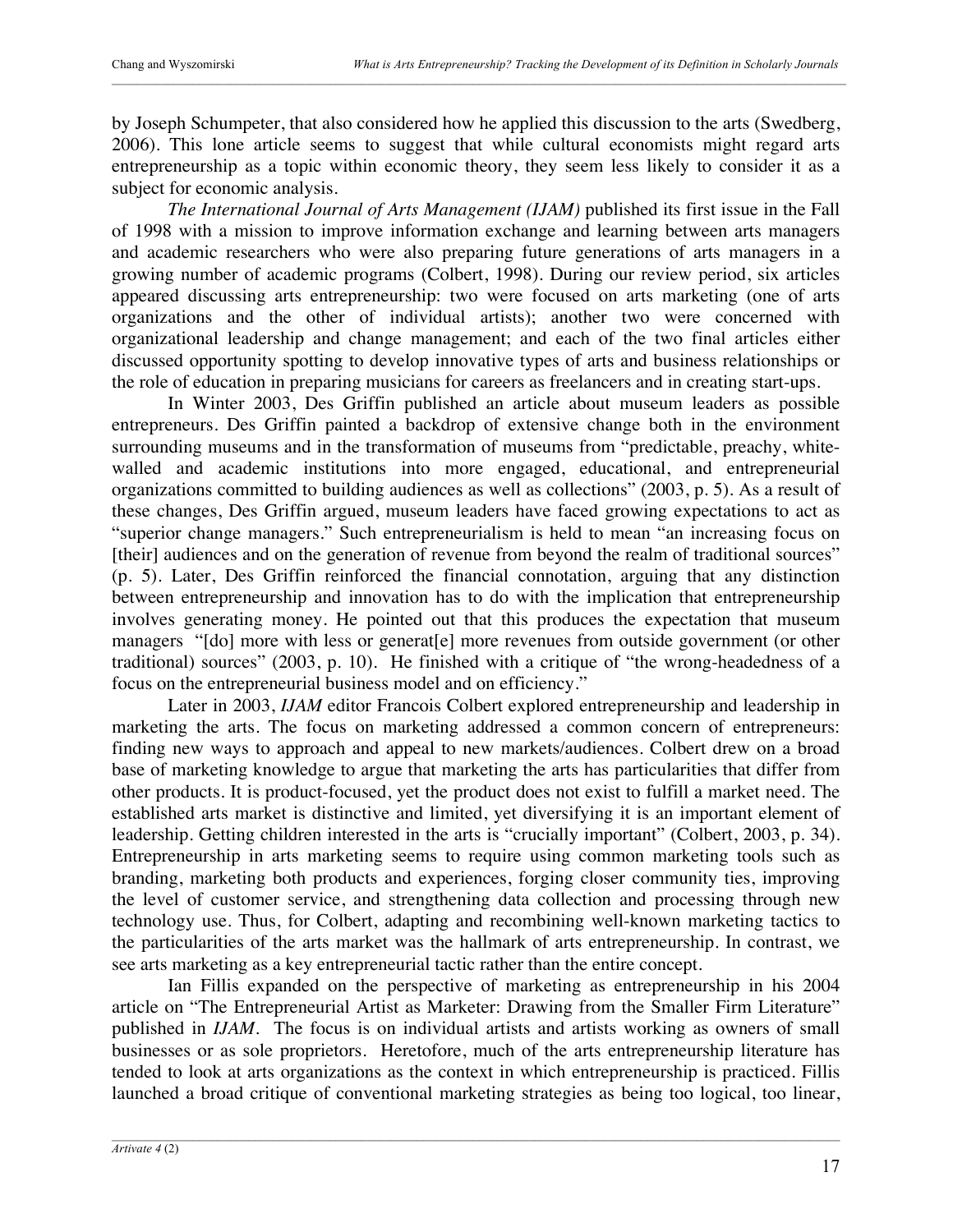by Joseph Schumpeter, that also considered how he applied this discussion to the arts (Swedberg, 2006). This lone article seems to suggest that while cultural economists might regard arts entrepreneurship as a topic within economic theory, they seem less likely to consider it as a subject for economic analysis.

*The International Journal of Arts Management (IJAM)* published its first issue in the Fall of 1998 with a mission to improve information exchange and learning between arts managers and academic researchers who were also preparing future generations of arts managers in a growing number of academic programs (Colbert, 1998). During our review period, six articles appeared discussing arts entrepreneurship: two were focused on arts marketing (one of arts organizations and the other of individual artists); another two were concerned with organizational leadership and change management; and each of the two final articles either discussed opportunity spotting to develop innovative types of arts and business relationships or the role of education in preparing musicians for careers as freelancers and in creating start-ups.

In Winter 2003, Des Griffin published an article about museum leaders as possible entrepreneurs. Des Griffin painted a backdrop of extensive change both in the environment surrounding museums and in the transformation of museums from "predictable, preachy, whitewalled and academic institutions into more engaged, educational, and entrepreneurial organizations committed to building audiences as well as collections" (2003, p. 5). As a result of these changes, Des Griffin argued, museum leaders have faced growing expectations to act as "superior change managers." Such entrepreneurialism is held to mean "an increasing focus on [their] audiences and on the generation of revenue from beyond the realm of traditional sources" (p. 5). Later, Des Griffin reinforced the financial connotation, arguing that any distinction between entrepreneurship and innovation has to do with the implication that entrepreneurship involves generating money. He pointed out that this produces the expectation that museum managers "[do] more with less or generat[e] more revenues from outside government (or other traditional) sources" (2003, p. 10). He finished with a critique of "the wrong-headedness of a focus on the entrepreneurial business model and on efficiency."

Later in 2003, *IJAM* editor Francois Colbert explored entrepreneurship and leadership in marketing the arts. The focus on marketing addressed a common concern of entrepreneurs: finding new ways to approach and appeal to new markets/audiences. Colbert drew on a broad base of marketing knowledge to argue that marketing the arts has particularities that differ from other products. It is product-focused, yet the product does not exist to fulfill a market need. The established arts market is distinctive and limited, yet diversifying it is an important element of leadership. Getting children interested in the arts is "crucially important" (Colbert, 2003, p. 34). Entrepreneurship in arts marketing seems to require using common marketing tools such as branding, marketing both products and experiences, forging closer community ties, improving the level of customer service, and strengthening data collection and processing through new technology use. Thus, for Colbert, adapting and recombining well-known marketing tactics to the particularities of the arts market was the hallmark of arts entrepreneurship. In contrast, we see arts marketing as a key entrepreneurial tactic rather than the entire concept.

Ian Fillis expanded on the perspective of marketing as entrepreneurship in his 2004 article on "The Entrepreneurial Artist as Marketer: Drawing from the Smaller Firm Literature" published in *IJAM.* The focus is on individual artists and artists working as owners of small businesses or as sole proprietors. Heretofore, much of the arts entrepreneurship literature has tended to look at arts organizations as the context in which entrepreneurship is practiced. Fillis launched a broad critique of conventional marketing strategies as being too logical, too linear,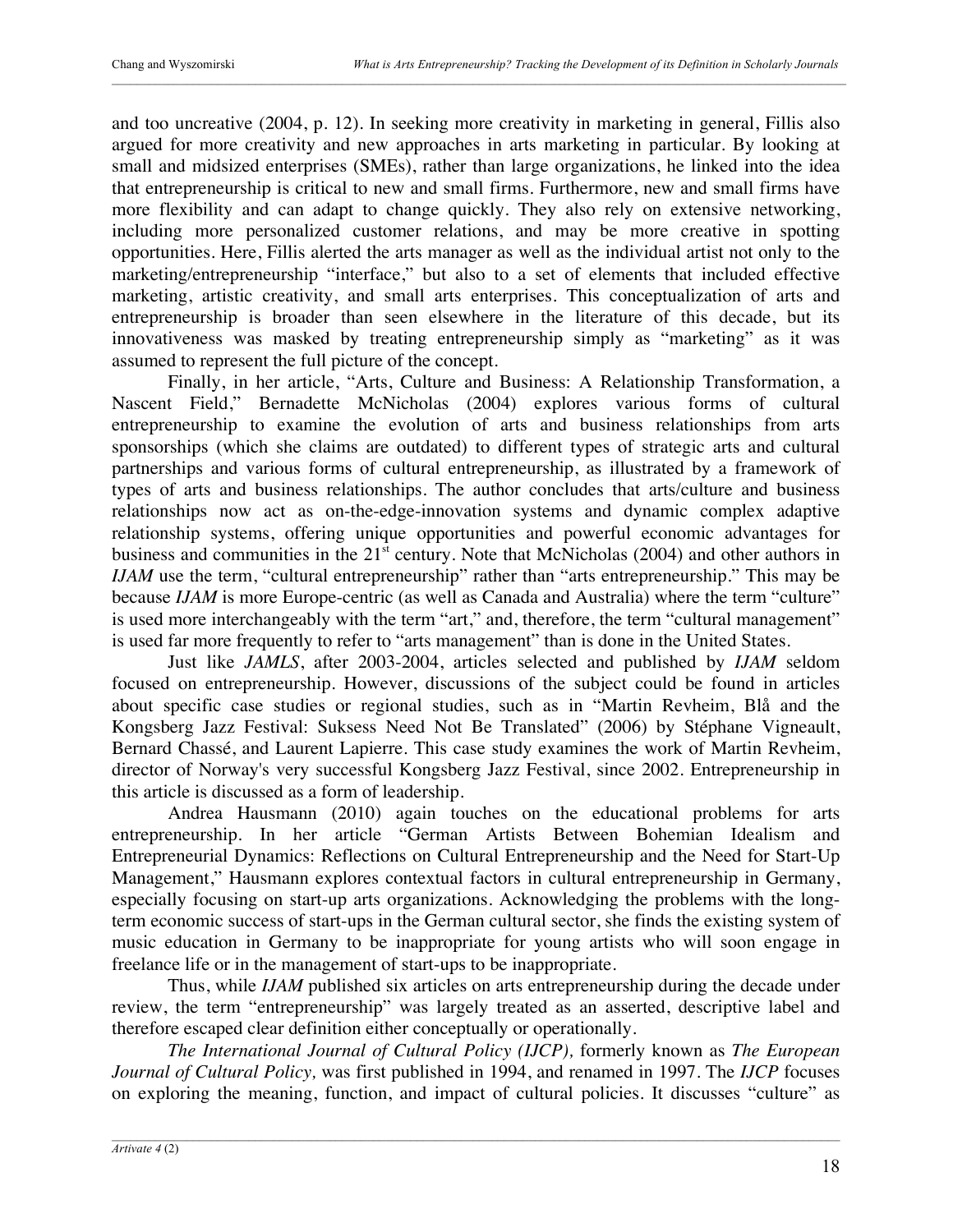and too uncreative (2004, p. 12). In seeking more creativity in marketing in general, Fillis also argued for more creativity and new approaches in arts marketing in particular. By looking at small and midsized enterprises (SMEs), rather than large organizations, he linked into the idea that entrepreneurship is critical to new and small firms. Furthermore, new and small firms have more flexibility and can adapt to change quickly. They also rely on extensive networking, including more personalized customer relations, and may be more creative in spotting opportunities. Here, Fillis alerted the arts manager as well as the individual artist not only to the marketing/entrepreneurship "interface," but also to a set of elements that included effective marketing, artistic creativity, and small arts enterprises. This conceptualization of arts and entrepreneurship is broader than seen elsewhere in the literature of this decade, but its innovativeness was masked by treating entrepreneurship simply as "marketing" as it was assumed to represent the full picture of the concept.

Finally, in her article, "Arts, Culture and Business: A Relationship Transformation, a Nascent Field," Bernadette McNicholas (2004) explores various forms of cultural entrepreneurship to examine the evolution of arts and business relationships from arts sponsorships (which she claims are outdated) to different types of strategic arts and cultural partnerships and various forms of cultural entrepreneurship, as illustrated by a framework of types of arts and business relationships. The author concludes that arts/culture and business relationships now act as on-the-edge-innovation systems and dynamic complex adaptive relationship systems, offering unique opportunities and powerful economic advantages for business and communities in the  $21<sup>st</sup>$  century. Note that McNicholas (2004) and other authors in *IJAM* use the term, "cultural entrepreneurship" rather than "arts entrepreneurship." This may be because *IJAM* is more Europe-centric (as well as Canada and Australia) where the term "culture" is used more interchangeably with the term "art," and, therefore, the term "cultural management" is used far more frequently to refer to "arts management" than is done in the United States.

Just like *JAMLS*, after 2003-2004, articles selected and published by *IJAM* seldom focused on entrepreneurship. However, discussions of the subject could be found in articles about specific case studies or regional studies, such as in "Martin Revheim, Blå and the Kongsberg Jazz Festival: Suksess Need Not Be Translated" (2006) by Stéphane Vigneault, Bernard Chassé, and Laurent Lapierre. This case study examines the work of Martin Revheim, director of Norway's very successful Kongsberg Jazz Festival, since 2002. Entrepreneurship in this article is discussed as a form of leadership.

Andrea Hausmann (2010) again touches on the educational problems for arts entrepreneurship. In her article "German Artists Between Bohemian Idealism and Entrepreneurial Dynamics: Reflections on Cultural Entrepreneurship and the Need for Start-Up Management," Hausmann explores contextual factors in cultural entrepreneurship in Germany, especially focusing on start-up arts organizations. Acknowledging the problems with the longterm economic success of start-ups in the German cultural sector, she finds the existing system of music education in Germany to be inappropriate for young artists who will soon engage in freelance life or in the management of start-ups to be inappropriate.

Thus, while *IJAM* published six articles on arts entrepreneurship during the decade under review, the term "entrepreneurship" was largely treated as an asserted, descriptive label and therefore escaped clear definition either conceptually or operationally.

*The International Journal of Cultural Policy (IJCP),* formerly known as *The European Journal of Cultural Policy,* was first published in 1994, and renamed in 1997. The *IJCP* focuses on exploring the meaning, function, and impact of cultural policies. It discusses "culture" as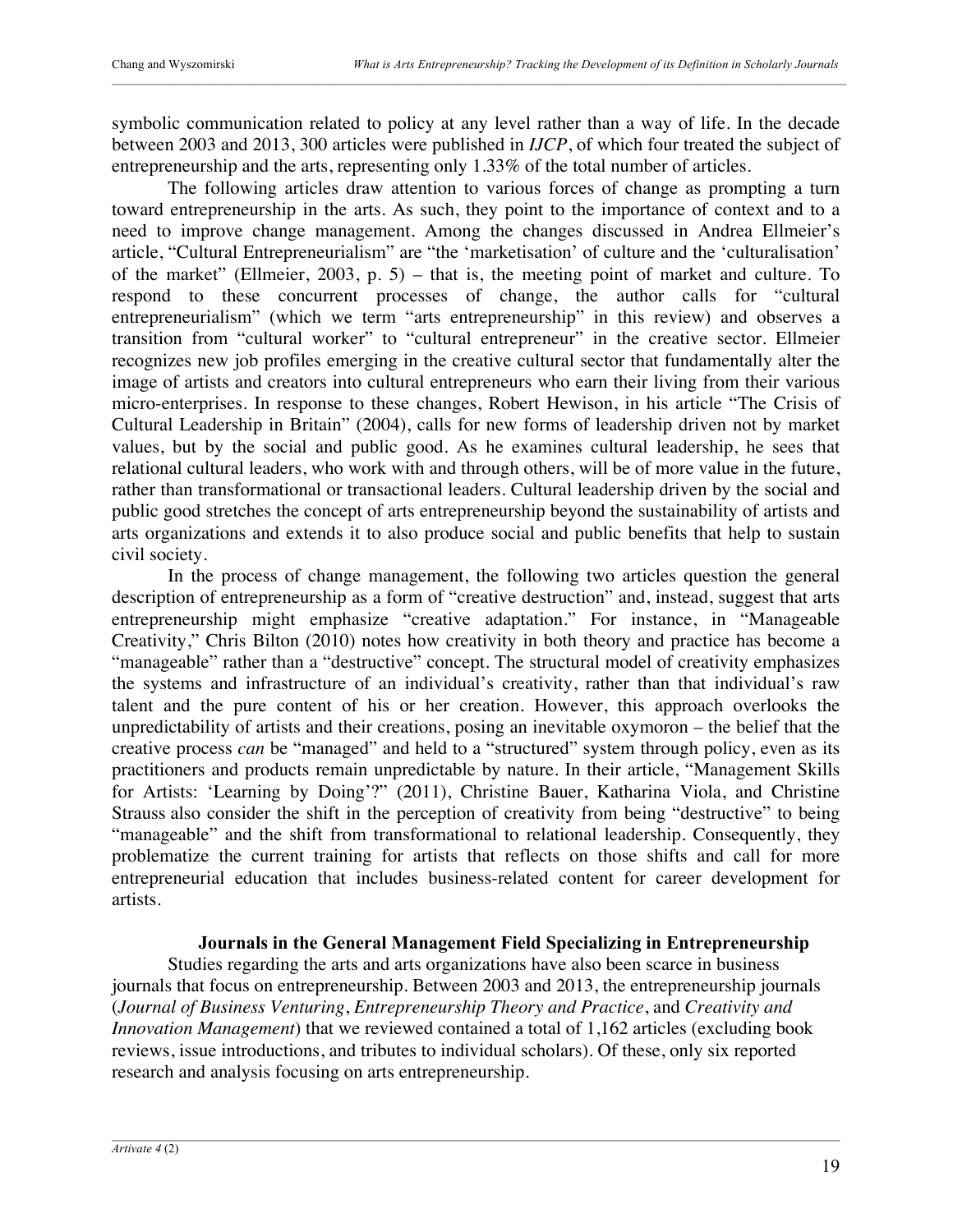symbolic communication related to policy at any level rather than a way of life. In the decade between 2003 and 2013, 300 articles were published in *IJCP*, of which four treated the subject of entrepreneurship and the arts, representing only 1.33% of the total number of articles.

The following articles draw attention to various forces of change as prompting a turn toward entrepreneurship in the arts. As such, they point to the importance of context and to a need to improve change management. Among the changes discussed in Andrea Ellmeier's article, "Cultural Entrepreneurialism" are "the 'marketisation' of culture and the 'culturalisation' of the market" (Ellmeier, 2003, p. 5) – that is, the meeting point of market and culture. To respond to these concurrent processes of change, the author calls for "cultural entrepreneurialism" (which we term "arts entrepreneurship" in this review) and observes a transition from "cultural worker" to "cultural entrepreneur" in the creative sector. Ellmeier recognizes new job profiles emerging in the creative cultural sector that fundamentally alter the image of artists and creators into cultural entrepreneurs who earn their living from their various micro-enterprises. In response to these changes, Robert Hewison, in his article "The Crisis of Cultural Leadership in Britain" (2004), calls for new forms of leadership driven not by market values, but by the social and public good. As he examines cultural leadership, he sees that relational cultural leaders, who work with and through others, will be of more value in the future, rather than transformational or transactional leaders. Cultural leadership driven by the social and public good stretches the concept of arts entrepreneurship beyond the sustainability of artists and arts organizations and extends it to also produce social and public benefits that help to sustain civil society.

In the process of change management, the following two articles question the general description of entrepreneurship as a form of "creative destruction" and, instead, suggest that arts entrepreneurship might emphasize "creative adaptation." For instance, in "Manageable Creativity," Chris Bilton (2010) notes how creativity in both theory and practice has become a "manageable" rather than a "destructive" concept. The structural model of creativity emphasizes the systems and infrastructure of an individual's creativity, rather than that individual's raw talent and the pure content of his or her creation. However, this approach overlooks the unpredictability of artists and their creations, posing an inevitable oxymoron – the belief that the creative process *can* be "managed" and held to a "structured" system through policy, even as its practitioners and products remain unpredictable by nature. In their article, "Management Skills for Artists: 'Learning by Doing'?" (2011), Christine Bauer, Katharina Viola, and Christine Strauss also consider the shift in the perception of creativity from being "destructive" to being "manageable" and the shift from transformational to relational leadership. Consequently, they problematize the current training for artists that reflects on those shifts and call for more entrepreneurial education that includes business-related content for career development for artists.

## **Journals in the General Management Field Specializing in Entrepreneurship**

Studies regarding the arts and arts organizations have also been scarce in business journals that focus on entrepreneurship. Between 2003 and 2013, the entrepreneurship journals (*Journal of Business Venturing*, *Entrepreneurship Theory and Practice*, and *Creativity and Innovation Management*) that we reviewed contained a total of 1,162 articles (excluding book reviews, issue introductions, and tributes to individual scholars). Of these, only six reported research and analysis focusing on arts entrepreneurship.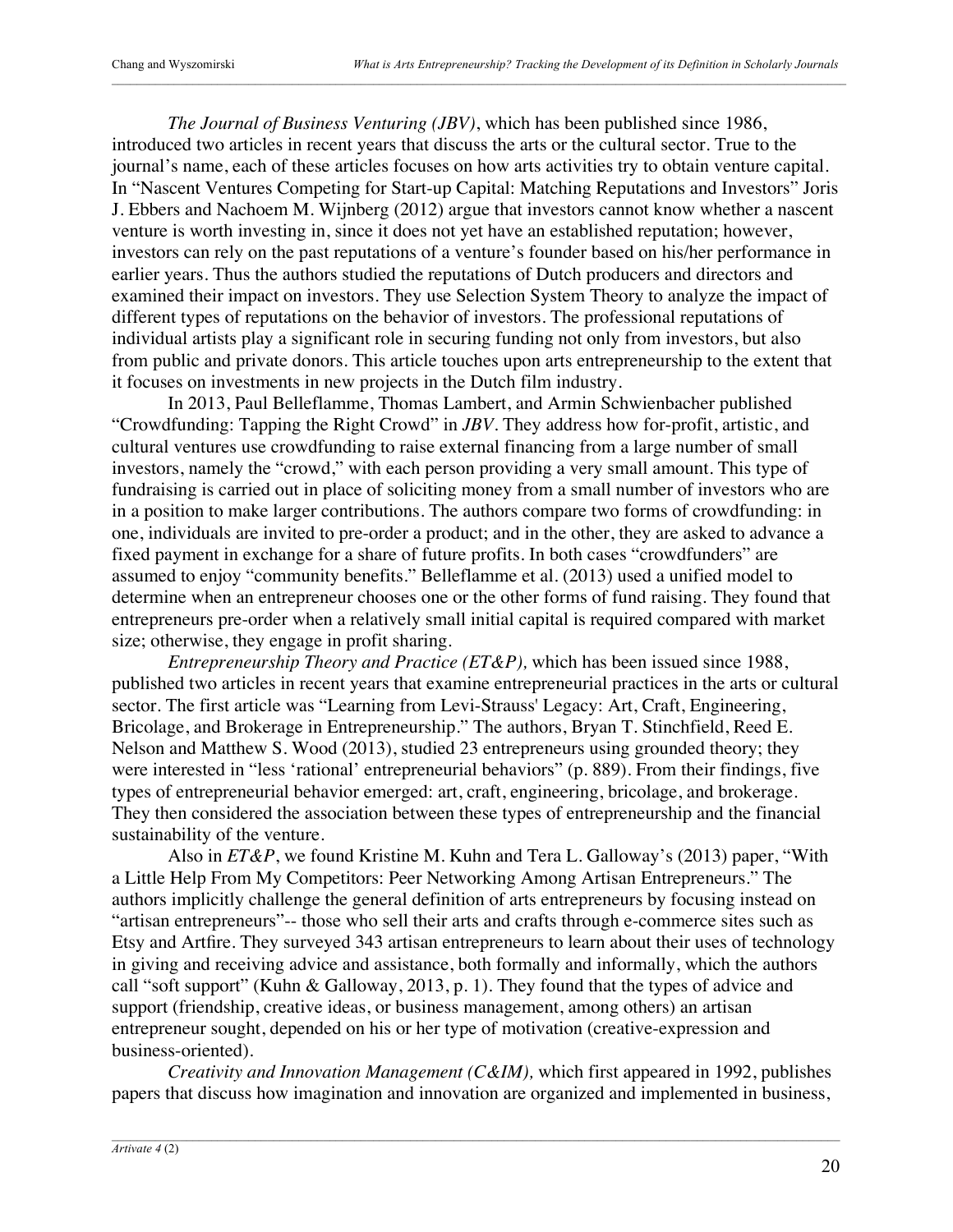*The Journal of Business Venturing (JBV)*, which has been published since 1986, introduced two articles in recent years that discuss the arts or the cultural sector. True to the journal's name, each of these articles focuses on how arts activities try to obtain venture capital. In "Nascent Ventures Competing for Start-up Capital: Matching Reputations and Investors" Joris J. Ebbers and Nachoem M. Wijnberg (2012) argue that investors cannot know whether a nascent venture is worth investing in, since it does not yet have an established reputation; however, investors can rely on the past reputations of a venture's founder based on his/her performance in earlier years. Thus the authors studied the reputations of Dutch producers and directors and examined their impact on investors. They use Selection System Theory to analyze the impact of different types of reputations on the behavior of investors. The professional reputations of individual artists play a significant role in securing funding not only from investors, but also from public and private donors. This article touches upon arts entrepreneurship to the extent that it focuses on investments in new projects in the Dutch film industry.

In 2013, Paul Belleflamme, Thomas Lambert, and Armin Schwienbacher published "Crowdfunding: Tapping the Right Crowd" in *JBV*. They address how for-profit, artistic, and cultural ventures use crowdfunding to raise external financing from a large number of small investors, namely the "crowd," with each person providing a very small amount. This type of fundraising is carried out in place of soliciting money from a small number of investors who are in a position to make larger contributions. The authors compare two forms of crowdfunding: in one, individuals are invited to pre-order a product; and in the other, they are asked to advance a fixed payment in exchange for a share of future profits. In both cases "crowdfunders" are assumed to enjoy "community benefits." Belleflamme et al. (2013) used a unified model to determine when an entrepreneur chooses one or the other forms of fund raising. They found that entrepreneurs pre-order when a relatively small initial capital is required compared with market size; otherwise, they engage in profit sharing.

*Entrepreneurship Theory and Practice (ET&P),* which has been issued since 1988, published two articles in recent years that examine entrepreneurial practices in the arts or cultural sector. The first article was "Learning from Levi-Strauss' Legacy: Art, Craft, Engineering, Bricolage, and Brokerage in Entrepreneurship." The authors, Bryan T. Stinchfield, Reed E. Nelson and Matthew S. Wood (2013), studied 23 entrepreneurs using grounded theory; they were interested in "less 'rational' entrepreneurial behaviors" (p. 889). From their findings, five types of entrepreneurial behavior emerged: art, craft, engineering, bricolage, and brokerage. They then considered the association between these types of entrepreneurship and the financial sustainability of the venture.

Also in *ET&P*, we found Kristine M. Kuhn and Tera L. Galloway's (2013) paper, "With a Little Help From My Competitors: Peer Networking Among Artisan Entrepreneurs." The authors implicitly challenge the general definition of arts entrepreneurs by focusing instead on "artisan entrepreneurs"-- those who sell their arts and crafts through e-commerce sites such as Etsy and Artfire. They surveyed 343 artisan entrepreneurs to learn about their uses of technology in giving and receiving advice and assistance, both formally and informally, which the authors call "soft support" (Kuhn & Galloway, 2013, p. 1). They found that the types of advice and support (friendship, creative ideas, or business management, among others) an artisan entrepreneur sought, depended on his or her type of motivation (creative-expression and business-oriented).

*Creativity and Innovation Management (C&IM),* which first appeared in 1992, publishes papers that discuss how imagination and innovation are organized and implemented in business,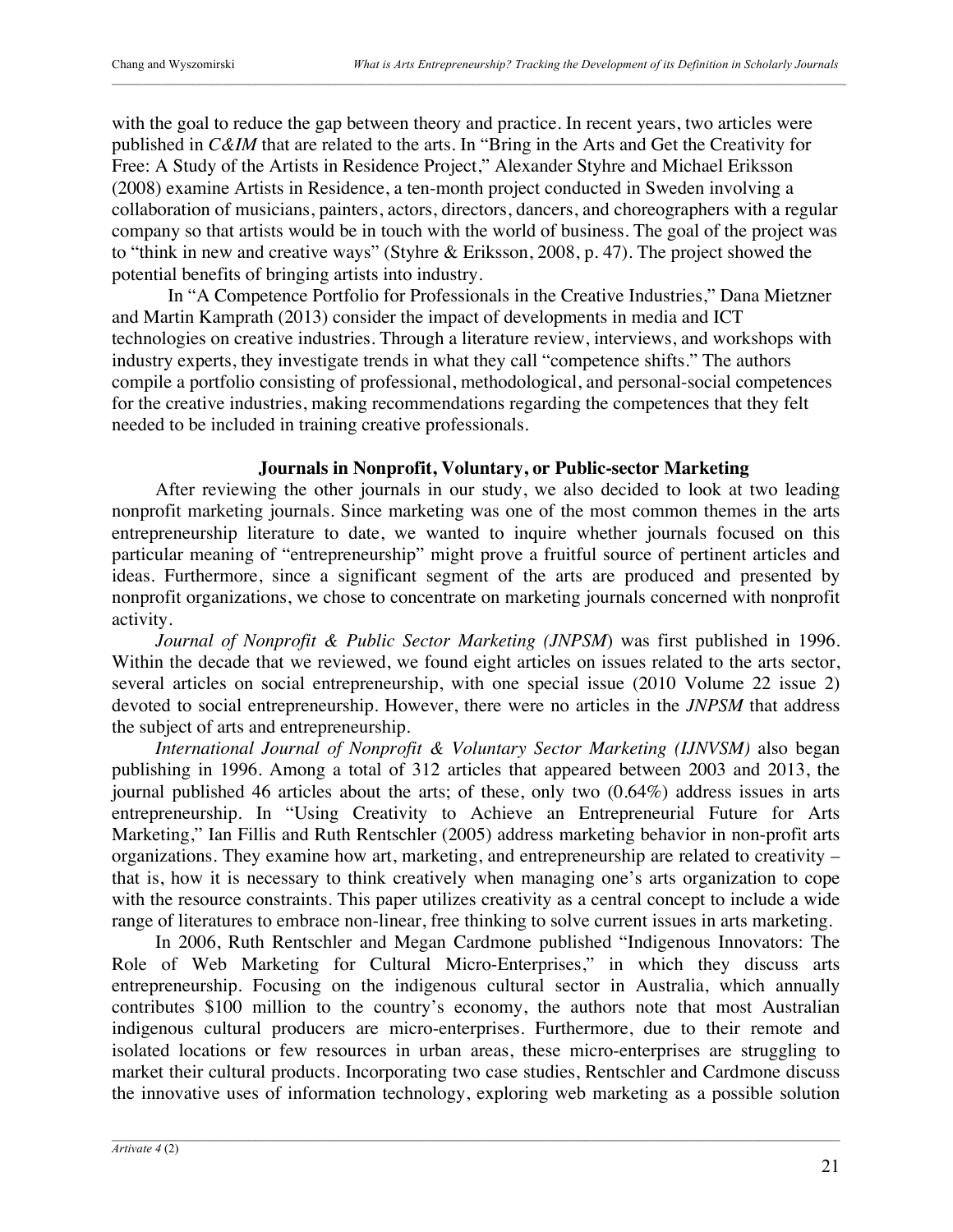with the goal to reduce the gap between theory and practice. In recent years, two articles were published in *C&IM* that are related to the arts. In "Bring in the Arts and Get the Creativity for Free: A Study of the Artists in Residence Project," Alexander Styhre and Michael Eriksson (2008) examine Artists in Residence, a ten-month project conducted in Sweden involving a collaboration of musicians, painters, actors, directors, dancers, and choreographers with a regular company so that artists would be in touch with the world of business. The goal of the project was to "think in new and creative ways" (Styhre & Eriksson, 2008, p. 47). The project showed the potential benefits of bringing artists into industry.

In "A Competence Portfolio for Professionals in the Creative Industries," Dana Mietzner and Martin Kamprath (2013) consider the impact of developments in media and ICT technologies on creative industries. Through a literature review, interviews, and workshops with industry experts, they investigate trends in what they call "competence shifts." The authors compile a portfolio consisting of professional, methodological, and personal-social competences for the creative industries, making recommendations regarding the competences that they felt needed to be included in training creative professionals.

### **Journals in Nonprofit, Voluntary, or Public-sector Marketing**

After reviewing the other journals in our study, we also decided to look at two leading nonprofit marketing journals. Since marketing was one of the most common themes in the arts entrepreneurship literature to date, we wanted to inquire whether journals focused on this particular meaning of "entrepreneurship" might prove a fruitful source of pertinent articles and ideas. Furthermore, since a significant segment of the arts are produced and presented by nonprofit organizations, we chose to concentrate on marketing journals concerned with nonprofit activity.

*Journal of Nonprofit & Public Sector Marketing (JNPSM*) was first published in 1996. Within the decade that we reviewed, we found eight articles on issues related to the arts sector, several articles on social entrepreneurship, with one special issue (2010 Volume 22 issue 2) devoted to social entrepreneurship. However, there were no articles in the *JNPSM* that address the subject of arts and entrepreneurship.

*International Journal of Nonprofit & Voluntary Sector Marketing (IJNVSM)* also began publishing in 1996. Among a total of 312 articles that appeared between 2003 and 2013, the journal published 46 articles about the arts; of these, only two (0.64%) address issues in arts entrepreneurship. In "Using Creativity to Achieve an Entrepreneurial Future for Arts Marketing," Ian Fillis and Ruth Rentschler (2005) address marketing behavior in non-profit arts organizations. They examine how art, marketing, and entrepreneurship are related to creativity – that is, how it is necessary to think creatively when managing one's arts organization to cope with the resource constraints. This paper utilizes creativity as a central concept to include a wide range of literatures to embrace non-linear, free thinking to solve current issues in arts marketing.

In 2006, Ruth Rentschler and Megan Cardmone published "Indigenous Innovators: The Role of Web Marketing for Cultural Micro-Enterprises," in which they discuss arts entrepreneurship. Focusing on the indigenous cultural sector in Australia, which annually contributes \$100 million to the country's economy, the authors note that most Australian indigenous cultural producers are micro-enterprises. Furthermore, due to their remote and isolated locations or few resources in urban areas, these micro-enterprises are struggling to market their cultural products. Incorporating two case studies, Rentschler and Cardmone discuss the innovative uses of information technology, exploring web marketing as a possible solution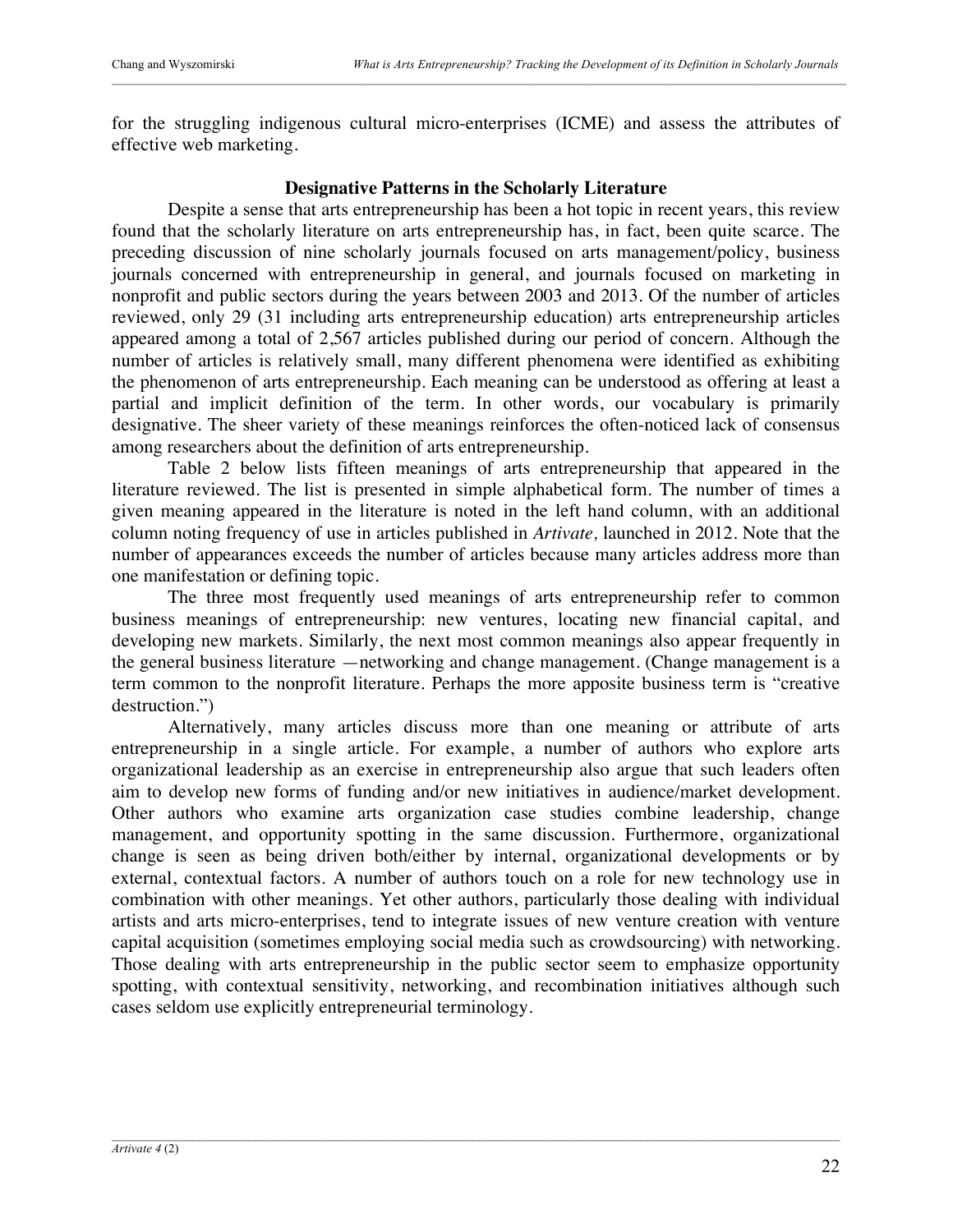for the struggling indigenous cultural micro-enterprises (ICME) and assess the attributes of effective web marketing.

## **Designative Patterns in the Scholarly Literature**

Despite a sense that arts entrepreneurship has been a hot topic in recent years, this review found that the scholarly literature on arts entrepreneurship has, in fact, been quite scarce. The preceding discussion of nine scholarly journals focused on arts management/policy, business journals concerned with entrepreneurship in general, and journals focused on marketing in nonprofit and public sectors during the years between 2003 and 2013. Of the number of articles reviewed, only 29 (31 including arts entrepreneurship education) arts entrepreneurship articles appeared among a total of 2,567 articles published during our period of concern. Although the number of articles is relatively small, many different phenomena were identified as exhibiting the phenomenon of arts entrepreneurship. Each meaning can be understood as offering at least a partial and implicit definition of the term. In other words, our vocabulary is primarily designative. The sheer variety of these meanings reinforces the often-noticed lack of consensus among researchers about the definition of arts entrepreneurship.

Table 2 below lists fifteen meanings of arts entrepreneurship that appeared in the literature reviewed. The list is presented in simple alphabetical form. The number of times a given meaning appeared in the literature is noted in the left hand column, with an additional column noting frequency of use in articles published in *Artivate,* launched in 2012. Note that the number of appearances exceeds the number of articles because many articles address more than one manifestation or defining topic.

The three most frequently used meanings of arts entrepreneurship refer to common business meanings of entrepreneurship: new ventures, locating new financial capital, and developing new markets. Similarly, the next most common meanings also appear frequently in the general business literature —networking and change management. (Change management is a term common to the nonprofit literature. Perhaps the more apposite business term is "creative destruction.")

Alternatively, many articles discuss more than one meaning or attribute of arts entrepreneurship in a single article. For example, a number of authors who explore arts organizational leadership as an exercise in entrepreneurship also argue that such leaders often aim to develop new forms of funding and/or new initiatives in audience/market development. Other authors who examine arts organization case studies combine leadership, change management, and opportunity spotting in the same discussion. Furthermore, organizational change is seen as being driven both/either by internal, organizational developments or by external, contextual factors. A number of authors touch on a role for new technology use in combination with other meanings. Yet other authors, particularly those dealing with individual artists and arts micro-enterprises, tend to integrate issues of new venture creation with venture capital acquisition (sometimes employing social media such as crowdsourcing) with networking. Those dealing with arts entrepreneurship in the public sector seem to emphasize opportunity spotting, with contextual sensitivity, networking, and recombination initiatives although such cases seldom use explicitly entrepreneurial terminology.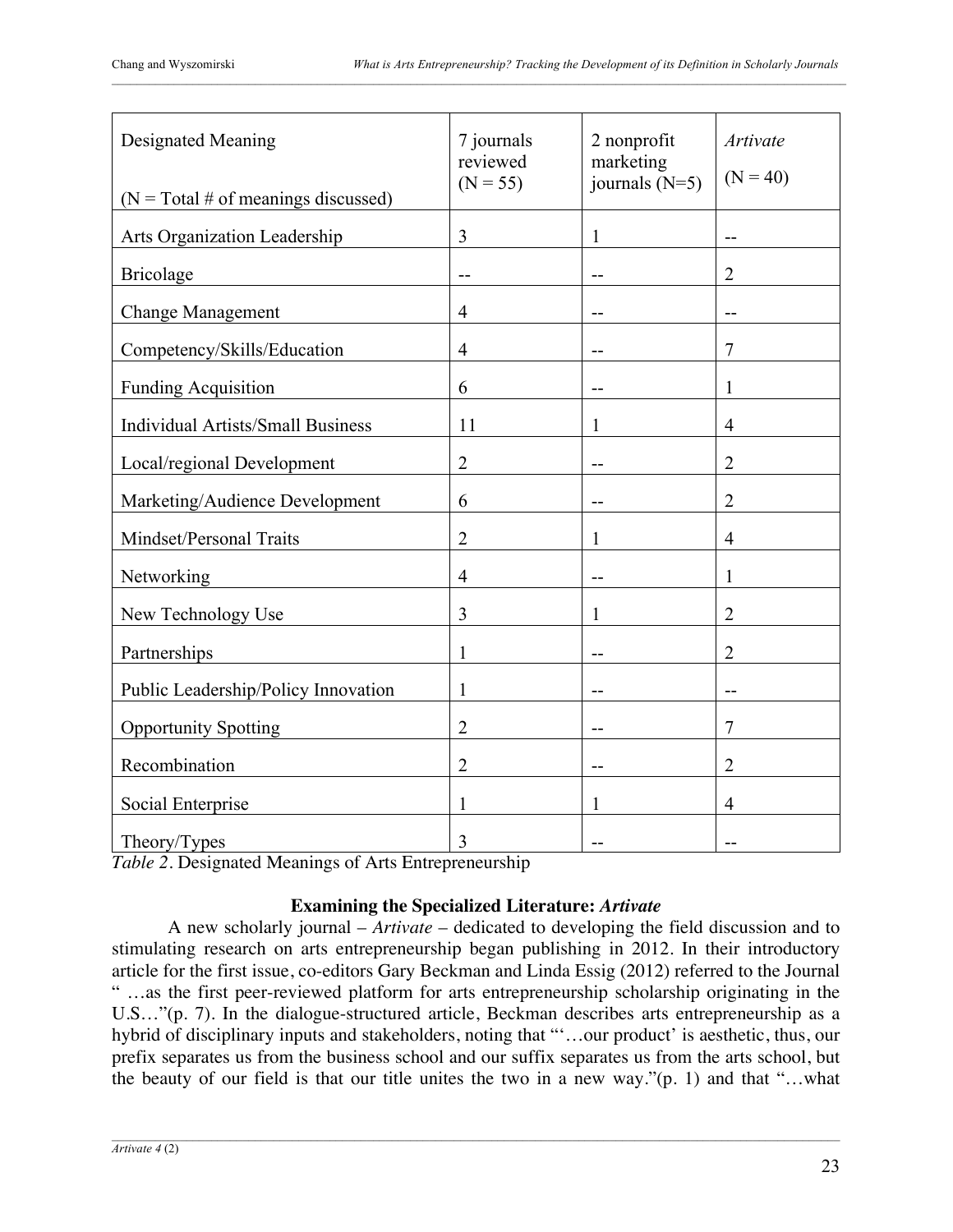| <b>Designated Meaning</b><br>( $N = Total # of meanings discussed$ ) | 7 journals<br>reviewed<br>$(N = 55)$ | 2 nonprofit<br>marketing<br>journals $(N=5)$ | <b>Artivate</b><br>$(N = 40)$ |
|----------------------------------------------------------------------|--------------------------------------|----------------------------------------------|-------------------------------|
| Arts Organization Leadership                                         | $\overline{3}$                       | 1                                            |                               |
| <b>Bricolage</b>                                                     | --                                   | $\overline{\phantom{a}}$                     | $\overline{2}$                |
| <b>Change Management</b>                                             | $\overline{4}$                       | $-$                                          | $-$                           |
| Competency/Skills/Education                                          | $\overline{4}$                       |                                              | $\overline{7}$                |
| <b>Funding Acquisition</b>                                           | 6                                    |                                              | 1                             |
| <b>Individual Artists/Small Business</b>                             | 11                                   | 1                                            | $\overline{4}$                |
| Local/regional Development                                           | $\overline{2}$                       |                                              | $\overline{2}$                |
| Marketing/Audience Development                                       | 6                                    | $-$                                          | $\overline{2}$                |
| Mindset/Personal Traits                                              | $\overline{2}$                       | 1                                            | $\overline{4}$                |
| Networking                                                           | $\overline{4}$                       |                                              | 1                             |
| New Technology Use                                                   | 3                                    | 1                                            | $\overline{2}$                |
| Partnerships                                                         | $\mathbf{1}$                         |                                              | $\overline{2}$                |
| Public Leadership/Policy Innovation                                  | $\mathbf{1}$                         | $-$                                          | --                            |
| <b>Opportunity Spotting</b>                                          | $\overline{2}$                       | --                                           | $\overline{7}$                |
| Recombination                                                        | $\overline{2}$                       |                                              | $\overline{2}$                |
| Social Enterprise                                                    | 1                                    | 1                                            | $\overline{4}$                |
| Theory/Types                                                         | 3                                    |                                              |                               |

*Table 2*. Designated Meanings of Arts Entrepreneurship

# **Examining the Specialized Literature:** *Artivate*

A new scholarly journal – *Artivate* – dedicated to developing the field discussion and to stimulating research on arts entrepreneurship began publishing in 2012. In their introductory article for the first issue, co-editors Gary Beckman and Linda Essig (2012) referred to the Journal " …as the first peer-reviewed platform for arts entrepreneurship scholarship originating in the U.S…"(p. 7). In the dialogue-structured article, Beckman describes arts entrepreneurship as a hybrid of disciplinary inputs and stakeholders, noting that "'…our product' is aesthetic, thus, our prefix separates us from the business school and our suffix separates us from the arts school, but the beauty of our field is that our title unites the two in a new way."(p. 1) and that "…what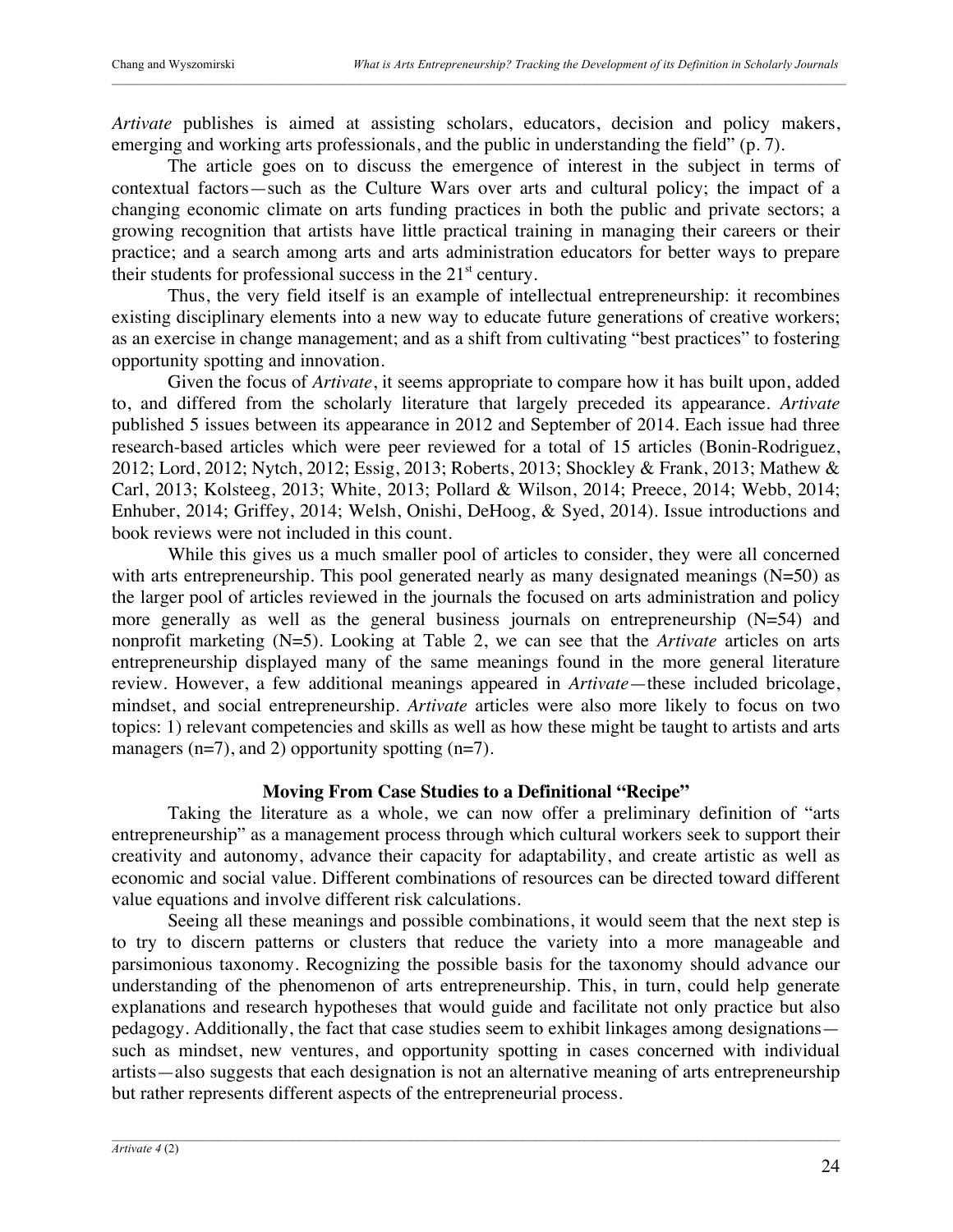*Artivate* publishes is aimed at assisting scholars, educators, decision and policy makers, emerging and working arts professionals, and the public in understanding the field" (p. 7).

The article goes on to discuss the emergence of interest in the subject in terms of contextual factors—such as the Culture Wars over arts and cultural policy; the impact of a changing economic climate on arts funding practices in both the public and private sectors; a growing recognition that artists have little practical training in managing their careers or their practice; and a search among arts and arts administration educators for better ways to prepare their students for professional success in the  $21<sup>st</sup>$  century.

Thus, the very field itself is an example of intellectual entrepreneurship: it recombines existing disciplinary elements into a new way to educate future generations of creative workers; as an exercise in change management; and as a shift from cultivating "best practices" to fostering opportunity spotting and innovation.

Given the focus of *Artivate*, it seems appropriate to compare how it has built upon, added to, and differed from the scholarly literature that largely preceded its appearance. *Artivate* published 5 issues between its appearance in 2012 and September of 2014. Each issue had three research-based articles which were peer reviewed for a total of 15 articles (Bonin-Rodriguez, 2012; Lord, 2012; Nytch, 2012; Essig, 2013; Roberts, 2013; Shockley & Frank, 2013; Mathew & Carl, 2013; Kolsteeg, 2013; White, 2013; Pollard & Wilson, 2014; Preece, 2014; Webb, 2014; Enhuber, 2014; Griffey, 2014; Welsh, Onishi, DeHoog, & Syed, 2014). Issue introductions and book reviews were not included in this count.

While this gives us a much smaller pool of articles to consider, they were all concerned with arts entrepreneurship. This pool generated nearly as many designated meanings  $(N=50)$  as the larger pool of articles reviewed in the journals the focused on arts administration and policy more generally as well as the general business journals on entrepreneurship (N=54) and nonprofit marketing (N=5). Looking at Table 2, we can see that the *Artivate* articles on arts entrepreneurship displayed many of the same meanings found in the more general literature review. However, a few additional meanings appeared in *Artivate*—these included bricolage, mindset, and social entrepreneurship. *Artivate* articles were also more likely to focus on two topics: 1) relevant competencies and skills as well as how these might be taught to artists and arts managers  $(n=7)$ , and 2) opportunity spotting  $(n=7)$ .

## **Moving From Case Studies to a Definitional "Recipe"**

Taking the literature as a whole, we can now offer a preliminary definition of "arts entrepreneurship" as a management process through which cultural workers seek to support their creativity and autonomy, advance their capacity for adaptability, and create artistic as well as economic and social value. Different combinations of resources can be directed toward different value equations and involve different risk calculations.

Seeing all these meanings and possible combinations, it would seem that the next step is to try to discern patterns or clusters that reduce the variety into a more manageable and parsimonious taxonomy. Recognizing the possible basis for the taxonomy should advance our understanding of the phenomenon of arts entrepreneurship. This, in turn, could help generate explanations and research hypotheses that would guide and facilitate not only practice but also pedagogy. Additionally, the fact that case studies seem to exhibit linkages among designations such as mindset, new ventures, and opportunity spotting in cases concerned with individual artists—also suggests that each designation is not an alternative meaning of arts entrepreneurship but rather represents different aspects of the entrepreneurial process.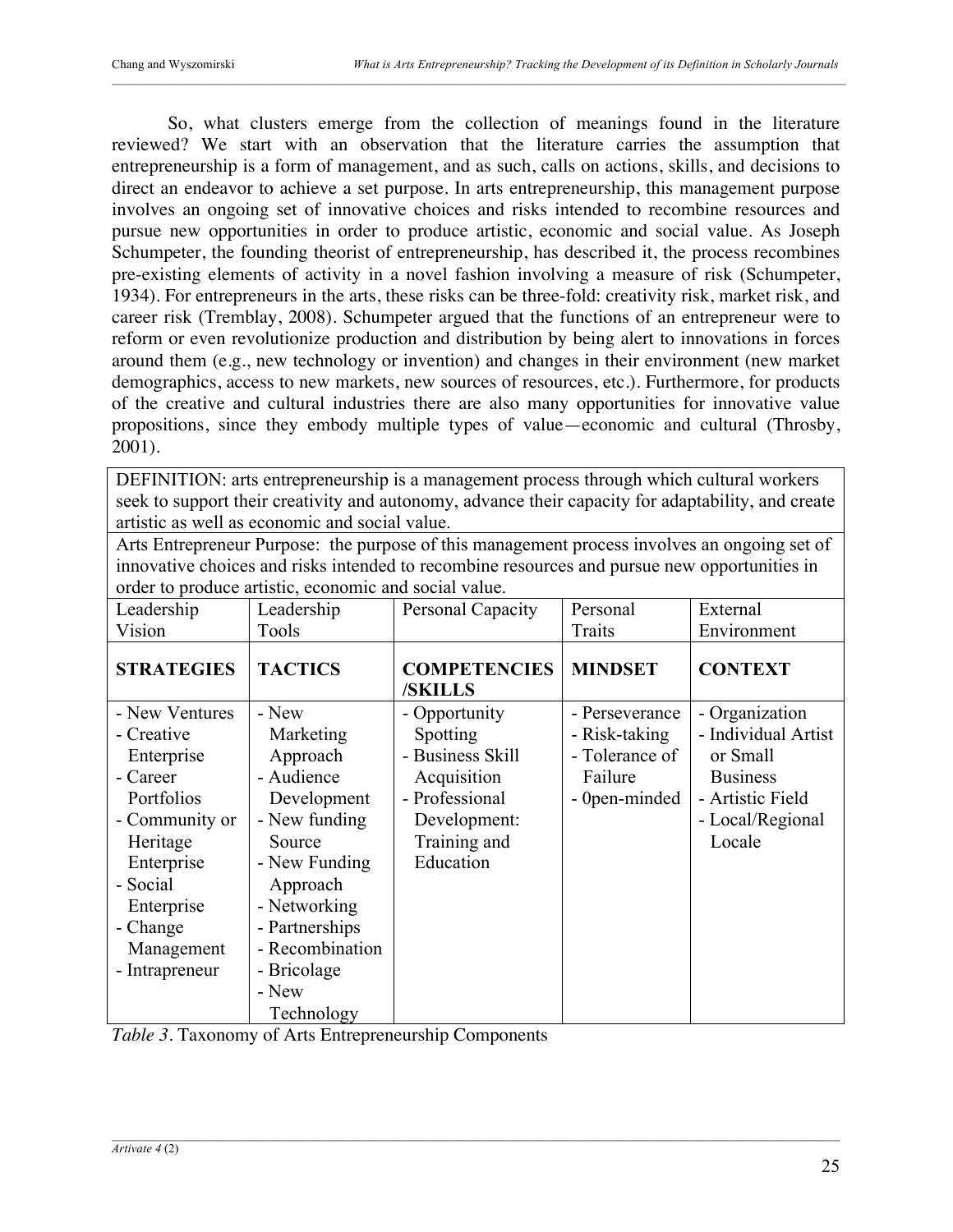So, what clusters emerge from the collection of meanings found in the literature reviewed? We start with an observation that the literature carries the assumption that entrepreneurship is a form of management, and as such, calls on actions, skills, and decisions to direct an endeavor to achieve a set purpose. In arts entrepreneurship, this management purpose involves an ongoing set of innovative choices and risks intended to recombine resources and pursue new opportunities in order to produce artistic, economic and social value. As Joseph Schumpeter, the founding theorist of entrepreneurship, has described it, the process recombines pre-existing elements of activity in a novel fashion involving a measure of risk (Schumpeter, 1934). For entrepreneurs in the arts, these risks can be three-fold: creativity risk, market risk, and career risk (Tremblay, 2008). Schumpeter argued that the functions of an entrepreneur were to reform or even revolutionize production and distribution by being alert to innovations in forces around them (e.g., new technology or invention) and changes in their environment (new market demographics, access to new markets, new sources of resources, etc.). Furthermore, for products of the creative and cultural industries there are also many opportunities for innovative value propositions, since they embody multiple types of value—economic and cultural (Throsby, 2001).

DEFINITION: arts entrepreneurship is a management process through which cultural workers seek to support their creativity and autonomy, advance their capacity for adaptability, and create artistic as well as economic and social value.

| order to produce artistic, economic and social value. |                 |                                |                |                     |
|-------------------------------------------------------|-----------------|--------------------------------|----------------|---------------------|
| Leadership                                            | Leadership      | Personal Capacity              | Personal       | External            |
| Vision                                                | Tools           |                                | Traits         | Environment         |
| <b>STRATEGIES</b>                                     | <b>TACTICS</b>  | <b>COMPETENCIES</b><br>/SKILLS | <b>MINDSET</b> | <b>CONTEXT</b>      |
| - New Ventures                                        | - New           | - Opportunity                  | - Perseverance | - Organization      |
| - Creative                                            | Marketing       | Spotting                       | - Risk-taking  | - Individual Artist |
| Enterprise                                            | Approach        | - Business Skill               | - Tolerance of | or Small            |
| - Career                                              | - Audience      | Acquisition                    | Failure        | <b>Business</b>     |
| Portfolios                                            | Development     | - Professional                 | - 0 pen-minded | - Artistic Field    |
| - Community or                                        | - New funding   | Development:                   |                | - Local/Regional    |
| Heritage                                              | Source          | Training and                   |                | Locale              |
| Enterprise                                            | - New Funding   | Education                      |                |                     |
| - Social                                              | Approach        |                                |                |                     |
| Enterprise                                            | - Networking    |                                |                |                     |
| - Change                                              | - Partnerships  |                                |                |                     |
| Management                                            | - Recombination |                                |                |                     |
| - Intrapreneur                                        | - Bricolage     |                                |                |                     |
|                                                       | - New           |                                |                |                     |
|                                                       | Technology      |                                |                |                     |

Arts Entrepreneur Purpose: the purpose of this management process involves an ongoing set of innovative choices and risks intended to recombine resources and pursue new opportunities in

|  | Table 3. Taxonomy of Arts Entrepreneurship Components |  |
|--|-------------------------------------------------------|--|
|  |                                                       |  |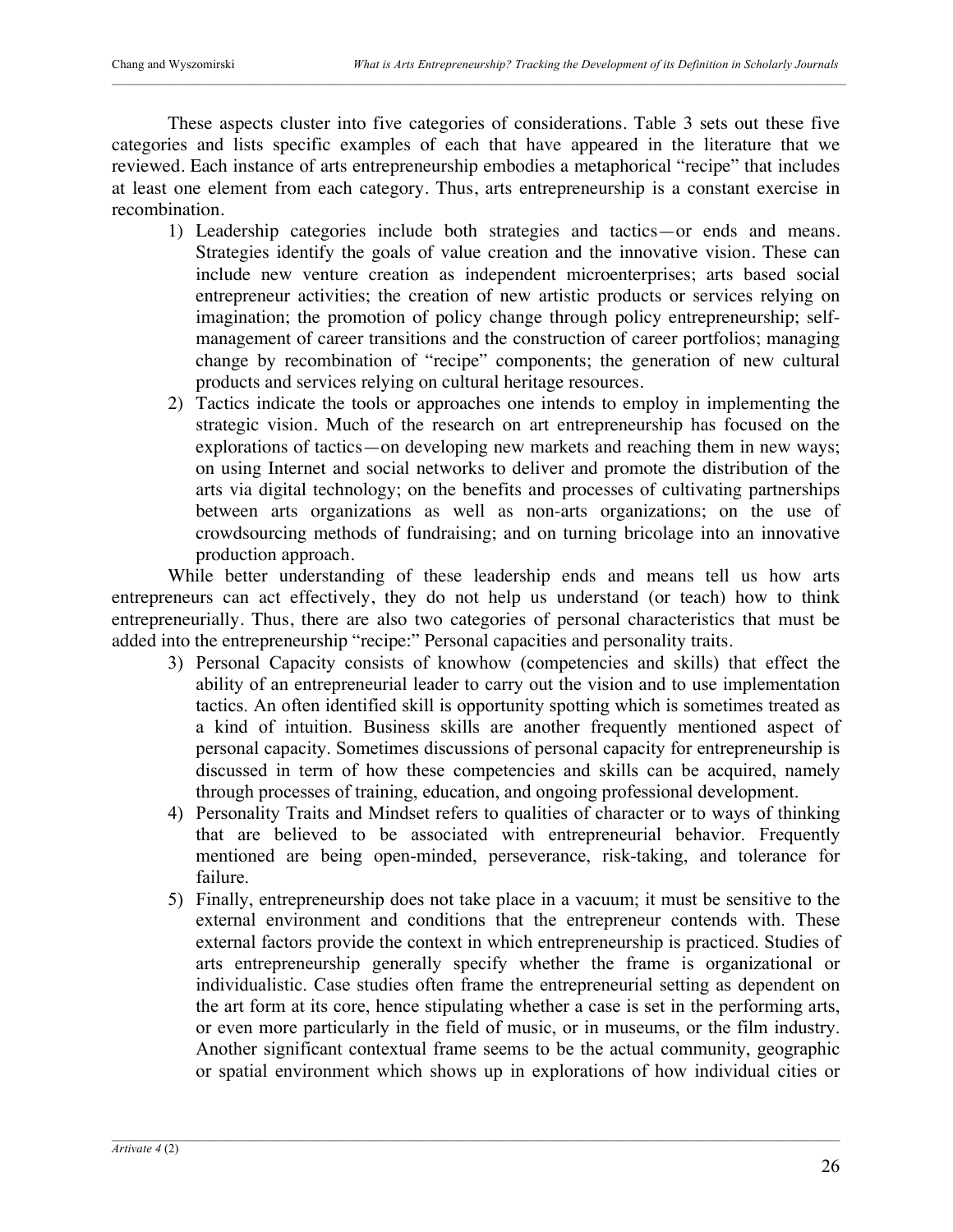These aspects cluster into five categories of considerations. Table 3 sets out these five categories and lists specific examples of each that have appeared in the literature that we reviewed. Each instance of arts entrepreneurship embodies a metaphorical "recipe" that includes at least one element from each category. Thus, arts entrepreneurship is a constant exercise in recombination.

- 1) Leadership categories include both strategies and tactics—or ends and means. Strategies identify the goals of value creation and the innovative vision. These can include new venture creation as independent microenterprises; arts based social entrepreneur activities; the creation of new artistic products or services relying on imagination; the promotion of policy change through policy entrepreneurship; selfmanagement of career transitions and the construction of career portfolios; managing change by recombination of "recipe" components; the generation of new cultural products and services relying on cultural heritage resources.
- 2) Tactics indicate the tools or approaches one intends to employ in implementing the strategic vision. Much of the research on art entrepreneurship has focused on the explorations of tactics—on developing new markets and reaching them in new ways; on using Internet and social networks to deliver and promote the distribution of the arts via digital technology; on the benefits and processes of cultivating partnerships between arts organizations as well as non-arts organizations; on the use of crowdsourcing methods of fundraising; and on turning bricolage into an innovative production approach.

While better understanding of these leadership ends and means tell us how arts entrepreneurs can act effectively, they do not help us understand (or teach) how to think entrepreneurially. Thus, there are also two categories of personal characteristics that must be added into the entrepreneurship "recipe:" Personal capacities and personality traits.

- 3) Personal Capacity consists of knowhow (competencies and skills) that effect the ability of an entrepreneurial leader to carry out the vision and to use implementation tactics. An often identified skill is opportunity spotting which is sometimes treated as a kind of intuition. Business skills are another frequently mentioned aspect of personal capacity. Sometimes discussions of personal capacity for entrepreneurship is discussed in term of how these competencies and skills can be acquired, namely through processes of training, education, and ongoing professional development.
- 4) Personality Traits and Mindset refers to qualities of character or to ways of thinking that are believed to be associated with entrepreneurial behavior. Frequently mentioned are being open-minded, perseverance, risk-taking, and tolerance for failure.
- 5) Finally, entrepreneurship does not take place in a vacuum; it must be sensitive to the external environment and conditions that the entrepreneur contends with. These external factors provide the context in which entrepreneurship is practiced. Studies of arts entrepreneurship generally specify whether the frame is organizational or individualistic. Case studies often frame the entrepreneurial setting as dependent on the art form at its core, hence stipulating whether a case is set in the performing arts, or even more particularly in the field of music, or in museums, or the film industry. Another significant contextual frame seems to be the actual community, geographic or spatial environment which shows up in explorations of how individual cities or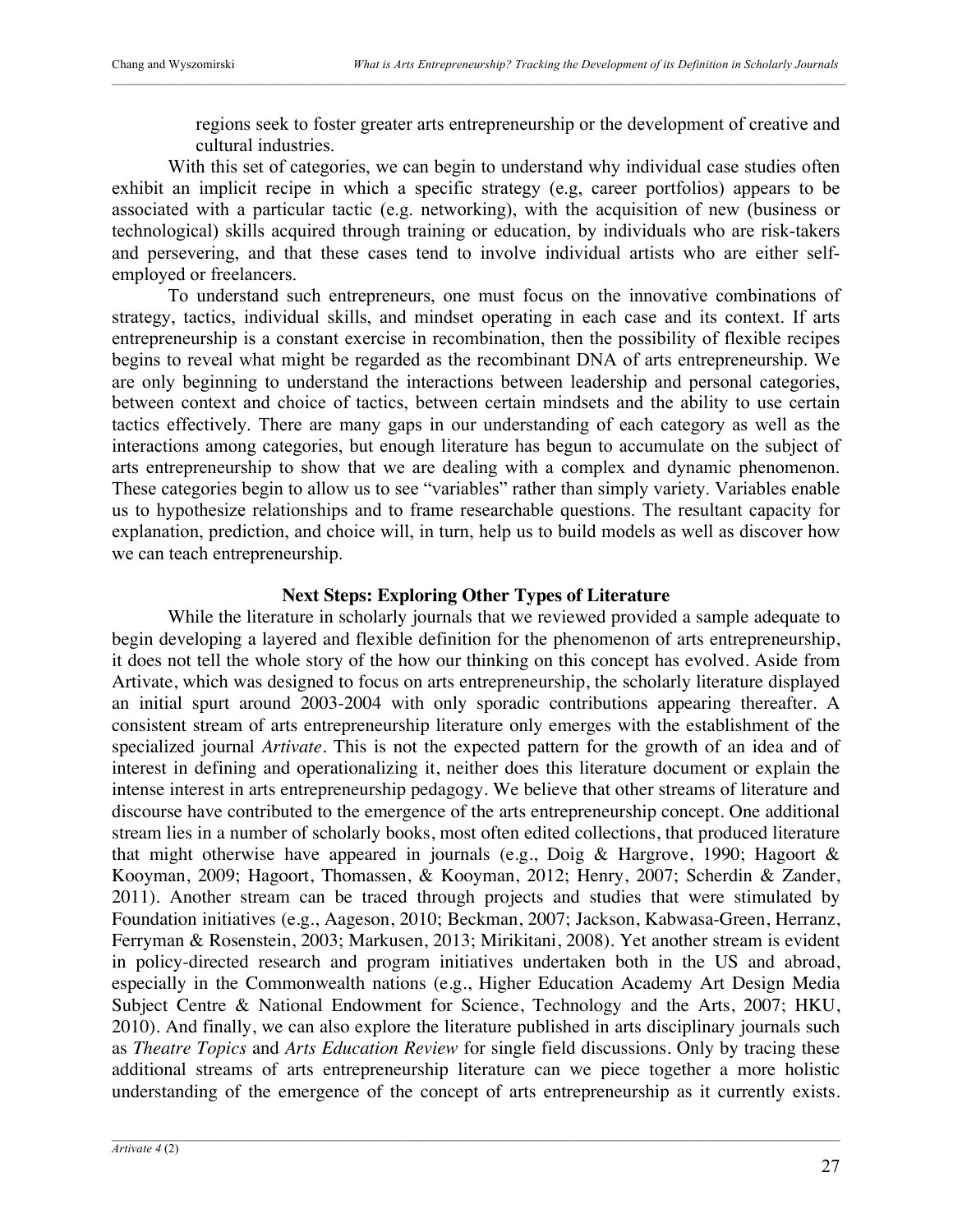regions seek to foster greater arts entrepreneurship or the development of creative and cultural industries.

With this set of categories, we can begin to understand why individual case studies often exhibit an implicit recipe in which a specific strategy (e.g, career portfolios) appears to be associated with a particular tactic (e.g. networking), with the acquisition of new (business or technological) skills acquired through training or education, by individuals who are risk-takers and persevering, and that these cases tend to involve individual artists who are either selfemployed or freelancers.

To understand such entrepreneurs, one must focus on the innovative combinations of strategy, tactics, individual skills, and mindset operating in each case and its context. If arts entrepreneurship is a constant exercise in recombination, then the possibility of flexible recipes begins to reveal what might be regarded as the recombinant DNA of arts entrepreneurship. We are only beginning to understand the interactions between leadership and personal categories, between context and choice of tactics, between certain mindsets and the ability to use certain tactics effectively. There are many gaps in our understanding of each category as well as the interactions among categories, but enough literature has begun to accumulate on the subject of arts entrepreneurship to show that we are dealing with a complex and dynamic phenomenon. These categories begin to allow us to see "variables" rather than simply variety. Variables enable us to hypothesize relationships and to frame researchable questions. The resultant capacity for explanation, prediction, and choice will, in turn, help us to build models as well as discover how we can teach entrepreneurship.

### **Next Steps: Exploring Other Types of Literature**

While the literature in scholarly journals that we reviewed provided a sample adequate to begin developing a layered and flexible definition for the phenomenon of arts entrepreneurship, it does not tell the whole story of the how our thinking on this concept has evolved. Aside from Artivate, which was designed to focus on arts entrepreneurship, the scholarly literature displayed an initial spurt around 2003-2004 with only sporadic contributions appearing thereafter. A consistent stream of arts entrepreneurship literature only emerges with the establishment of the specialized journal *Artivate*. This is not the expected pattern for the growth of an idea and of interest in defining and operationalizing it, neither does this literature document or explain the intense interest in arts entrepreneurship pedagogy. We believe that other streams of literature and discourse have contributed to the emergence of the arts entrepreneurship concept. One additional stream lies in a number of scholarly books, most often edited collections, that produced literature that might otherwise have appeared in journals (e.g., Doig & Hargrove, 1990; Hagoort  $\&$ Kooyman, 2009; Hagoort, Thomassen, & Kooyman, 2012; Henry, 2007; Scherdin & Zander, 2011). Another stream can be traced through projects and studies that were stimulated by Foundation initiatives (e.g., Aageson, 2010; Beckman, 2007; Jackson, Kabwasa-Green, Herranz, Ferryman & Rosenstein, 2003; Markusen, 2013; Mirikitani, 2008). Yet another stream is evident in policy-directed research and program initiatives undertaken both in the US and abroad, especially in the Commonwealth nations (e.g., Higher Education Academy Art Design Media Subject Centre & National Endowment for Science, Technology and the Arts, 2007; HKU, 2010). And finally, we can also explore the literature published in arts disciplinary journals such as *Theatre Topics* and *Arts Education Review* for single field discussions. Only by tracing these additional streams of arts entrepreneurship literature can we piece together a more holistic understanding of the emergence of the concept of arts entrepreneurship as it currently exists.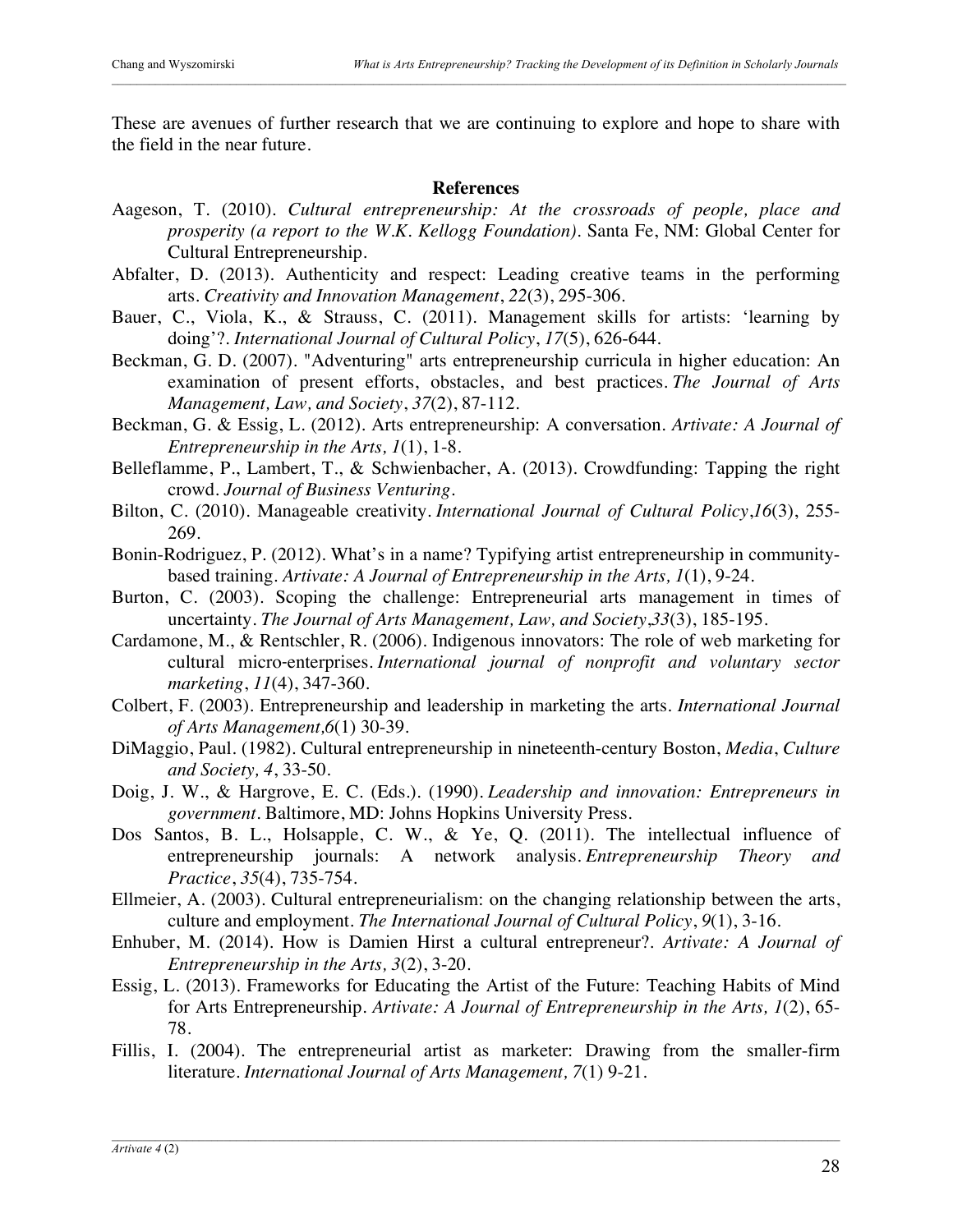These are avenues of further research that we are continuing to explore and hope to share with the field in the near future.

### **References**

- Aageson, T. (2010). *Cultural entrepreneurship: At the crossroads of people, place and prosperity (a report to the W.K. Kellogg Foundation)*. Santa Fe, NM: Global Center for Cultural Entrepreneurship.
- Abfalter, D. (2013). Authenticity and respect: Leading creative teams in the performing arts. *Creativity and Innovation Management*, *22*(3), 295-306.
- Bauer, C., Viola, K., & Strauss, C. (2011). Management skills for artists: 'learning by doing'?. *International Journal of Cultural Policy*, *17*(5), 626-644.
- Beckman, G. D. (2007). "Adventuring" arts entrepreneurship curricula in higher education: An examination of present efforts, obstacles, and best practices. *The Journal of Arts Management, Law, and Society*, *37*(2), 87-112.
- Beckman, G. & Essig, L. (2012). Arts entrepreneurship: A conversation. *Artivate: A Journal of Entrepreneurship in the Arts, 1*(1), 1-8.
- Belleflamme, P., Lambert, T., & Schwienbacher, A. (2013). Crowdfunding: Tapping the right crowd. *Journal of Business Venturing*.
- Bilton, C. (2010). Manageable creativity. *International Journal of Cultural Policy*,*16*(3), 255- 269.
- Bonin-Rodriguez, P. (2012). What's in a name? Typifying artist entrepreneurship in communitybased training. *Artivate: A Journal of Entrepreneurship in the Arts, 1*(1), 9-24.
- Burton, C. (2003). Scoping the challenge: Entrepreneurial arts management in times of uncertainty. *The Journal of Arts Management, Law, and Society*,*33*(3), 185-195.
- Cardamone, M., & Rentschler, R. (2006). Indigenous innovators: The role of web marketing for cultural micro‐enterprises. *International journal of nonprofit and voluntary sector marketing*, *11*(4), 347-360.
- Colbert, F. (2003). Entrepreneurship and leadership in marketing the arts. *International Journal of Arts Management,6*(1) 30-39.
- DiMaggio, Paul. (1982). Cultural entrepreneurship in nineteenth-century Boston, *Media*, *Culture and Society, 4*, 33-50.
- Doig, J. W., & Hargrove, E. C. (Eds.). (1990). *Leadership and innovation: Entrepreneurs in government*. Baltimore, MD: Johns Hopkins University Press.
- Dos Santos, B. L., Holsapple, C. W., & Ye, Q. (2011). The intellectual influence of entrepreneurship journals: A network analysis. *Entrepreneurship Theory and Practice*, *35*(4), 735-754.
- Ellmeier, A. (2003). Cultural entrepreneurialism: on the changing relationship between the arts, culture and employment. *The International Journal of Cultural Policy*, *9*(1), 3-16.
- Enhuber, M. (2014). How is Damien Hirst a cultural entrepreneur?. *Artivate: A Journal of Entrepreneurship in the Arts, 3*(2), 3-20.
- Essig, L. (2013). Frameworks for Educating the Artist of the Future: Teaching Habits of Mind for Arts Entrepreneurship. *Artivate: A Journal of Entrepreneurship in the Arts, 1*(2), 65- 78.
- Fillis, I. (2004). The entrepreneurial artist as marketer: Drawing from the smaller-firm literature. *International Journal of Arts Management, 7*(1) 9-21.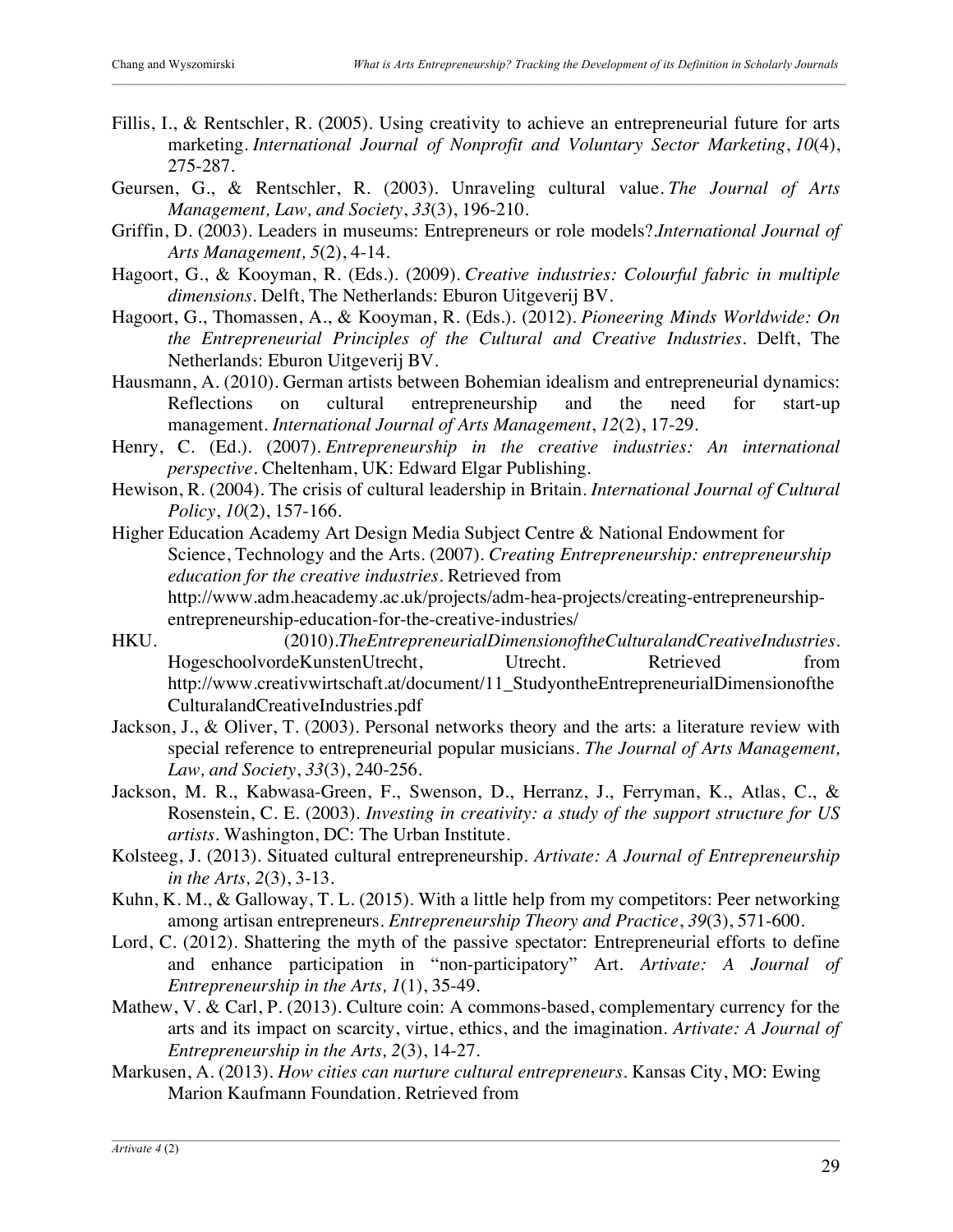- Fillis, I., & Rentschler, R. (2005). Using creativity to achieve an entrepreneurial future for arts marketing. *International Journal of Nonprofit and Voluntary Sector Marketing*, *10*(4), 275-287.
- Geursen, G., & Rentschler, R. (2003). Unraveling cultural value. *The Journal of Arts Management, Law, and Society*, *33*(3), 196-210.
- Griffin, D. (2003). Leaders in museums: Entrepreneurs or role models?.*International Journal of Arts Management, 5*(2), 4-14.
- Hagoort, G., & Kooyman, R. (Eds.). (2009). *Creative industries: Colourful fabric in multiple dimensions*. Delft, The Netherlands: Eburon Uitgeverij BV.
- Hagoort, G., Thomassen, A., & Kooyman, R. (Eds.). (2012). *Pioneering Minds Worldwide: On the Entrepreneurial Principles of the Cultural and Creative Industries.* Delft, The Netherlands: Eburon Uitgeverij BV.
- Hausmann, A. (2010). German artists between Bohemian idealism and entrepreneurial dynamics: Reflections on cultural entrepreneurship and the need for start-up management. *International Journal of Arts Management*, *12*(2), 17-29.
- Henry, C. (Ed.). (2007). *Entrepreneurship in the creative industries: An international perspective*. Cheltenham, UK: Edward Elgar Publishing.
- Hewison, R. (2004). The crisis of cultural leadership in Britain. *International Journal of Cultural Policy*, *10*(2), 157-166.

Higher Education Academy Art Design Media Subject Centre & National Endowment for Science, Technology and the Arts. (2007). *Creating Entrepreneurship: entrepreneurship education for the creative industries*. Retrieved from http://www.adm.heacademy.ac.uk/projects/adm-hea-projects/creating-entrepreneurshipentrepreneurship-education-for-the-creative-industries/

- HKU. (2010).*TheEntrepreneurialDimensionoftheCulturalandCreativeIndustries*. HogeschoolvordeKunstenUtrecht, Utrecht. Retrieved from http://www.creativwirtschaft.at/document/11\_StudyontheEntrepreneurialDimensionofthe CulturalandCreativeIndustries.pdf
- Jackson, J., & Oliver, T. (2003). Personal networks theory and the arts: a literature review with special reference to entrepreneurial popular musicians. *The Journal of Arts Management, Law, and Society*, *33*(3), 240-256.
- Jackson, M. R., Kabwasa-Green, F., Swenson, D., Herranz, J., Ferryman, K., Atlas, C., & Rosenstein, C. E. (2003). *Investing in creativity: a study of the support structure for US artists*. Washington, DC: The Urban Institute.
- Kolsteeg, J. (2013). Situated cultural entrepreneurship. *Artivate: A Journal of Entrepreneurship in the Arts, 2*(3), 3-13.
- Kuhn, K. M., & Galloway, T. L. (2015). With a little help from my competitors: Peer networking among artisan entrepreneurs. *Entrepreneurship Theory and Practice*, *39*(3), 571-600.
- Lord, C. (2012). Shattering the myth of the passive spectator: Entrepreneurial efforts to define and enhance participation in "non-participatory" Art. *Artivate: A Journal of Entrepreneurship in the Arts, 1*(1), 35-49.
- Mathew, V. & Carl, P. (2013). Culture coin: A commons-based, complementary currency for the arts and its impact on scarcity, virtue, ethics, and the imagination. *Artivate: A Journal of Entrepreneurship in the Arts, 2*(3), 14-27.
- Markusen, A. (2013). *How cities can nurture cultural entrepreneurs*. Kansas City, MO: Ewing Marion Kaufmann Foundation. Retrieved from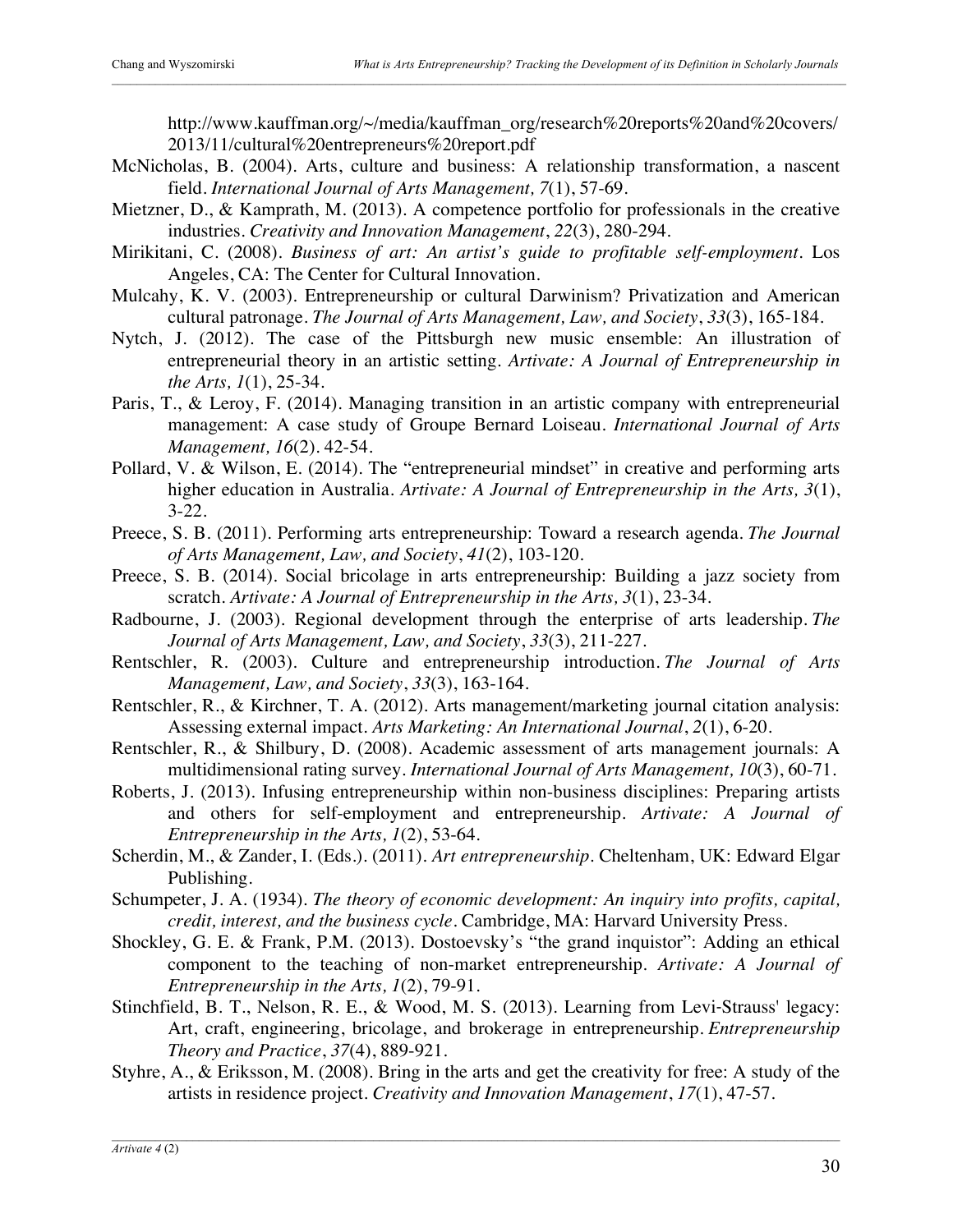http://www.kauffman.org/~/media/kauffman\_org/research%20reports%20and%20covers/ 2013/11/cultural%20entrepreneurs%20report.pdf

- McNicholas, B. (2004). Arts, culture and business: A relationship transformation, a nascent field. *International Journal of Arts Management, 7*(1), 57-69.
- Mietzner, D., & Kamprath, M. (2013). A competence portfolio for professionals in the creative industries. *Creativity and Innovation Management*, *22*(3), 280-294.
- Mirikitani, C. (2008). *Business of art: An artist's guide to profitable self-employment*. Los Angeles, CA: The Center for Cultural Innovation.
- Mulcahy, K. V. (2003). Entrepreneurship or cultural Darwinism? Privatization and American cultural patronage. *The Journal of Arts Management, Law, and Society*, *33*(3), 165-184.
- Nytch, J. (2012). The case of the Pittsburgh new music ensemble: An illustration of entrepreneurial theory in an artistic setting. *Artivate: A Journal of Entrepreneurship in the Arts, 1*(1), 25-34.
- Paris, T., & Leroy, F. (2014). Managing transition in an artistic company with entrepreneurial management: A case study of Groupe Bernard Loiseau. *International Journal of Arts Management, 16*(2). 42-54.
- Pollard, V. & Wilson, E. (2014). The "entrepreneurial mindset" in creative and performing arts higher education in Australia. *Artivate: A Journal of Entrepreneurship in the Arts, 3*(1), 3-22.
- Preece, S. B. (2011). Performing arts entrepreneurship: Toward a research agenda. *The Journal of Arts Management, Law, and Society*, *41*(2), 103-120.
- Preece, S. B. (2014). Social bricolage in arts entrepreneurship: Building a jazz society from scratch. *Artivate: A Journal of Entrepreneurship in the Arts, 3*(1), 23-34.
- Radbourne, J. (2003). Regional development through the enterprise of arts leadership. *The Journal of Arts Management, Law, and Society*, *33*(3), 211-227.
- Rentschler, R. (2003). Culture and entrepreneurship introduction. *The Journal of Arts Management, Law, and Society*, *33*(3), 163-164.
- Rentschler, R., & Kirchner, T. A. (2012). Arts management/marketing journal citation analysis: Assessing external impact. *Arts Marketing: An International Journal*, *2*(1), 6-20.
- Rentschler, R., & Shilbury, D. (2008). Academic assessment of arts management journals: A multidimensional rating survey. *International Journal of Arts Management, 10*(3), 60-71.
- Roberts, J. (2013). Infusing entrepreneurship within non-business disciplines: Preparing artists and others for self-employment and entrepreneurship. *Artivate: A Journal of Entrepreneurship in the Arts, 1*(2), 53-64.
- Scherdin, M., & Zander, I. (Eds.). (2011). *Art entrepreneurship*. Cheltenham, UK: Edward Elgar Publishing.
- Schumpeter, J. A. (1934). *The theory of economic development: An inquiry into profits, capital, credit, interest, and the business cycle*. Cambridge, MA: Harvard University Press.
- Shockley, G. E. & Frank, P.M. (2013). Dostoevsky's "the grand inquistor": Adding an ethical component to the teaching of non-market entrepreneurship. *Artivate: A Journal of Entrepreneurship in the Arts, 1*(2), 79-91.
- Stinchfield, B. T., Nelson, R. E., & Wood, M. S. (2013). Learning from Levi‐Strauss' legacy: Art, craft, engineering, bricolage, and brokerage in entrepreneurship. *Entrepreneurship Theory and Practice*, *37*(4), 889-921.
- Styhre, A., & Eriksson, M. (2008). Bring in the arts and get the creativity for free: A study of the artists in residence project. *Creativity and Innovation Management*, *17*(1), 47-57.